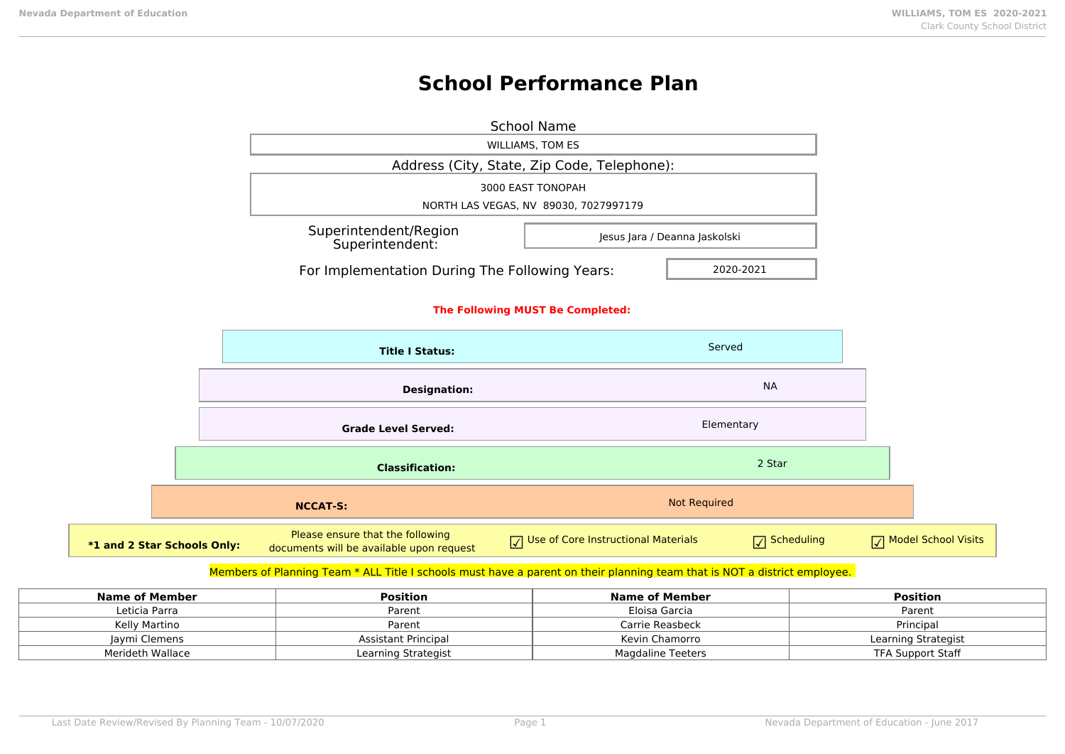$*1$  and 2

# **School Performance Plan**

|                                  |                                                                              | <b>School Name</b>                          |                        |                     |
|----------------------------------|------------------------------------------------------------------------------|---------------------------------------------|------------------------|---------------------|
|                                  |                                                                              | <b>WILLIAMS, TOM ES</b>                     |                        |                     |
|                                  |                                                                              | Address (City, State, Zip Code, Telephone): |                        |                     |
|                                  | 3000 EAST TONOPAH                                                            |                                             |                        |                     |
|                                  | NORTH LAS VEGAS, NV 89030, 7027997179                                        |                                             |                        |                     |
|                                  | Superintendent/Region<br>Jesus Jara / Deanna Jaskolski<br>Superintendent:    |                                             |                        |                     |
|                                  | For Implementation During The Following Years:<br>2020-2021                  |                                             |                        |                     |
| The Following MUST Be Completed: |                                                                              |                                             |                        |                     |
| <b>Title I Status:</b>           |                                                                              |                                             | Served                 |                     |
| <b>Designation:</b>              |                                                                              |                                             | <b>NA</b>              |                     |
| <b>Grade Level Served:</b>       |                                                                              | Elementary                                  |                        |                     |
|                                  | <b>Classification:</b>                                                       |                                             | 2 Star                 |                     |
|                                  | <b>NCCAT-S:</b>                                                              |                                             | <b>Not Required</b>    |                     |
| <b>Star Schools Only:</b>        | Please ensure that the following<br>documents will be available upon request | Use of Core Instructional Materials         | $\sqrt{\ }$ Scheduling | Model School Visits |
|                                  |                                                                              |                                             |                        |                     |

### Members of Planning Team \* ALL Title I schools must have a parent on their planning team that is NOT a district employee.

| Name of Member   | <b>Position</b>     | Name of Member           | <b>Position</b>     |
|------------------|---------------------|--------------------------|---------------------|
| Leticia Parra    | Parent              | Eloisa Garcia            | Parent              |
| Kelly Martino    | Parent              | Carrie Reasbeck          | Principal           |
| Jaymi Clemens    | Assistant Principal | Kevin Chamorro           | Learning Strategist |
| Merideth Wallace | Learning Strategist | <b>Magdaline Teeters</b> | TFA Support Staff   |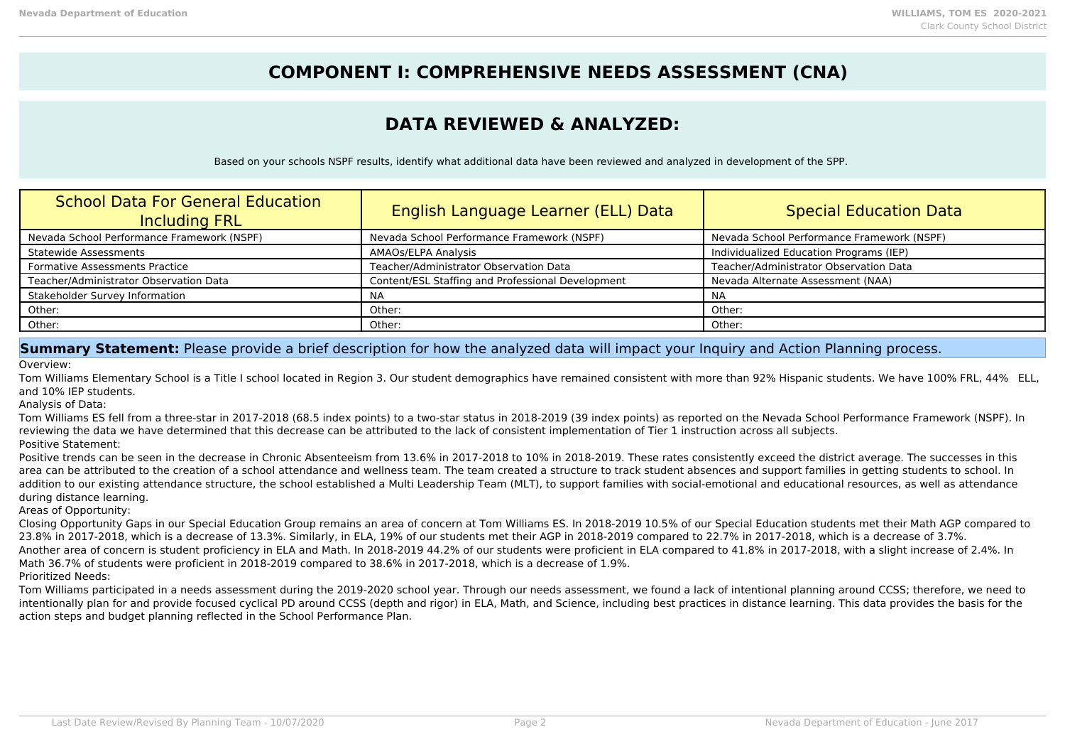## **COMPONENT I: COMPREHENSIVE NEEDS ASSESSMENT (CNA)**

## **DATA REVIEWED & ANALYZED:**

Based on your schools NSPF results, identify what additional data have been reviewed and analyzed in development of the SPP.

| <b>School Data For General Education</b><br><b>Including FRL</b> | English Language Learner (ELL) Data               | <b>Special Education Data</b>              |
|------------------------------------------------------------------|---------------------------------------------------|--------------------------------------------|
| Nevada School Performance Framework (NSPF)                       | Nevada School Performance Framework (NSPF)        | Nevada School Performance Framework (NSPF) |
| <b>Statewide Assessments</b>                                     | AMAOs/ELPA Analysis                               | Individualized Education Programs (IEP)    |
| <b>Formative Assessments Practice</b>                            | Teacher/Administrator Observation Data            | Teacher/Administrator Observation Data     |
| Teacher/Administrator Observation Data                           | Content/ESL Staffing and Professional Development | Nevada Alternate Assessment (NAA)          |
| Stakeholder Survey Information                                   | NA                                                | <b>NA</b>                                  |
| Other:                                                           | Other:                                            | Other:                                     |
| Other:                                                           | Other:                                            | Other:                                     |

### **Summary Statement:** Please provide a brief description for how the analyzed data will impact your Inquiry and Action Planning process.

Overview:

Tom Williams Elementary School is a Title I school located in Region 3. Our student demographics have remained consistent with more than 92% Hispanic students. We have 100% FRL, 44% ELL, and 10% IEP students.

Analysis of Data:

Tom Williams ES fell from a three-star in 2017-2018 (68.5 index points) to a two-star status in 2018-2019 (39 index points) as reported on the Nevada School Performance Framework (NSPF). In reviewing the data we have determined that this decrease can be attributed to the lack of consistent implementation of Tier 1 instruction across all subjects. Positive Statement:

Positive trends can be seen in the decrease in Chronic Absenteeism from 13.6% in 2017-2018 to 10% in 2018-2019. These rates consistently exceed the district average. The successes in this area can be attributed to the creation of a school attendance and wellness team. The team created a structure to track student absences and support families in getting students to school. In addition to our existing attendance structure, the school established a Multi Leadership Team (MLT), to support families with social-emotional and educational resources, as well as attendance during distance learning.

Areas of Opportunity:

Closing Opportunity Gaps in our Special Education Group remains an area of concern at Tom Williams ES. In 2018-2019 10.5% of our Special Education students met their Math AGP compared to 23.8% in 2017-2018, which is a decrease of 13.3%. Similarly, in ELA, 19% of our students met their AGP in 2018-2019 compared to 22.7% in 2017-2018, which is a decrease of 3.7%. Another area of concern is student proficiency in ELA and Math. In 2018-2019 44.2% of our students were proficient in ELA compared to 41.8% in 2017-2018, with a slight increase of 2.4%. In Math 36.7% of students were proficient in 2018-2019 compared to 38.6% in 2017-2018, which is a decrease of 1.9%.

Prioritized Needs:

Tom Williams participated in a needs assessment during the 2019-2020 school year. Through our needs assessment, we found a lack of intentional planning around CCSS; therefore, we need to intentionally plan for and provide focused cyclical PD around CCSS (depth and rigor) in ELA, Math, and Science, including best practices in distance learning. This data provides the basis for the action steps and budget planning reflected in the School Performance Plan.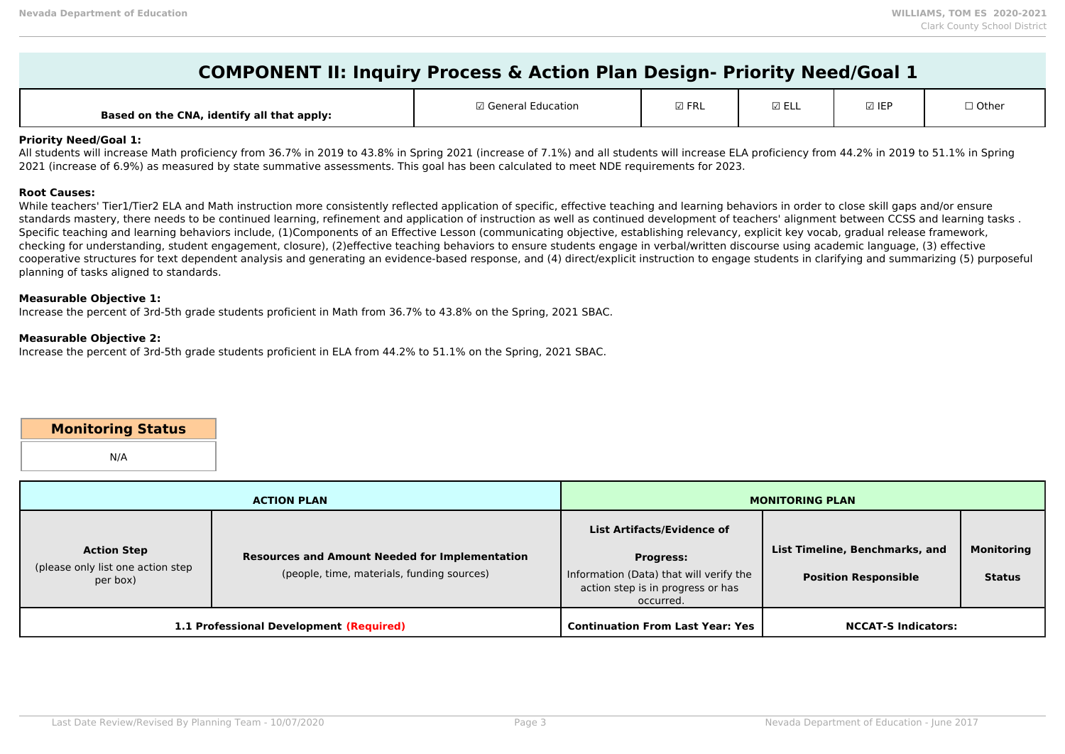| $\blacktriangleright$ COMPONENT II: Inquiry Process & Action Plan Design- Priority Need/Goal 1 |  |
|------------------------------------------------------------------------------------------------|--|
|------------------------------------------------------------------------------------------------|--|

| Based on the CNA, identify all that apply: | <b><i>Coneral Education</i></b> | m co<br>n.<br>~ | EΙ<br>⊾∟∟ | <b>☑ IEF</b> | $\Box$ Other |
|--------------------------------------------|---------------------------------|-----------------|-----------|--------------|--------------|
|--------------------------------------------|---------------------------------|-----------------|-----------|--------------|--------------|

#### **Priority Need/Goal 1:**

All students will increase Math proficiency from 36.7% in 2019 to 43.8% in Spring 2021 (increase of 7.1%) and all students will increase ELA proficiency from 44.2% in 2019 to 51.1% in Spring 2021 (increase of 6.9%) as measured by state summative assessments. This goal has been calculated to meet NDE requirements for 2023.

#### **Root Causes:**

While teachers' Tier1/Tier2 ELA and Math instruction more consistently reflected application of specific, effective teaching and learning behaviors in order to close skill gaps and/or ensure standards mastery, there needs to be continued learning, refinement and application of instruction as well as continued development of teachers' alignment between CCSS and learning tasks . Specific teaching and learning behaviors include, (1)Components of an Effective Lesson (communicating objective, establishing relevancy, explicit key vocab, gradual release framework, checking for understanding, student engagement, closure), (2)effective teaching behaviors to ensure students engage in verbal/written discourse using academic language, (3) effective cooperative structures for text dependent analysis and generating an evidence-based response, and (4) direct/explicit instruction to engage students in clarifying and summarizing (5) purposeful planning of tasks aligned to standards.

#### **Measurable Objective 1:**

Increase the percent of 3rd-5th grade students proficient in Math from 36.7% to 43.8% on the Spring, 2021 SBAC.

#### **Measurable Objective 2:**

Increase the percent of 3rd-5th grade students proficient in ELA from 44.2% to 51.1% on the Spring, 2021 SBAC.

### **Monitoring Status**

N/A

|                                                                     | <b>ACTION PLAN</b>                                                                                  | <b>MONITORING PLAN</b>                                                                                                                      |                                                               |                                    |  |
|---------------------------------------------------------------------|-----------------------------------------------------------------------------------------------------|---------------------------------------------------------------------------------------------------------------------------------------------|---------------------------------------------------------------|------------------------------------|--|
| <b>Action Step</b><br>(please only list one action step<br>per box) | <b>Resources and Amount Needed for Implementation</b><br>(people, time, materials, funding sources) | List Artifacts/Evidence of<br><b>Progress:</b><br>Information (Data) that will verify the<br>action step is in progress or has<br>occurred. | List Timeline, Benchmarks, and<br><b>Position Responsible</b> | <b>Monitoring</b><br><b>Status</b> |  |
|                                                                     | 1.1 Professional Development (Required)                                                             | <b>Continuation From Last Year: Yes</b>                                                                                                     | <b>NCCAT-S Indicators:</b>                                    |                                    |  |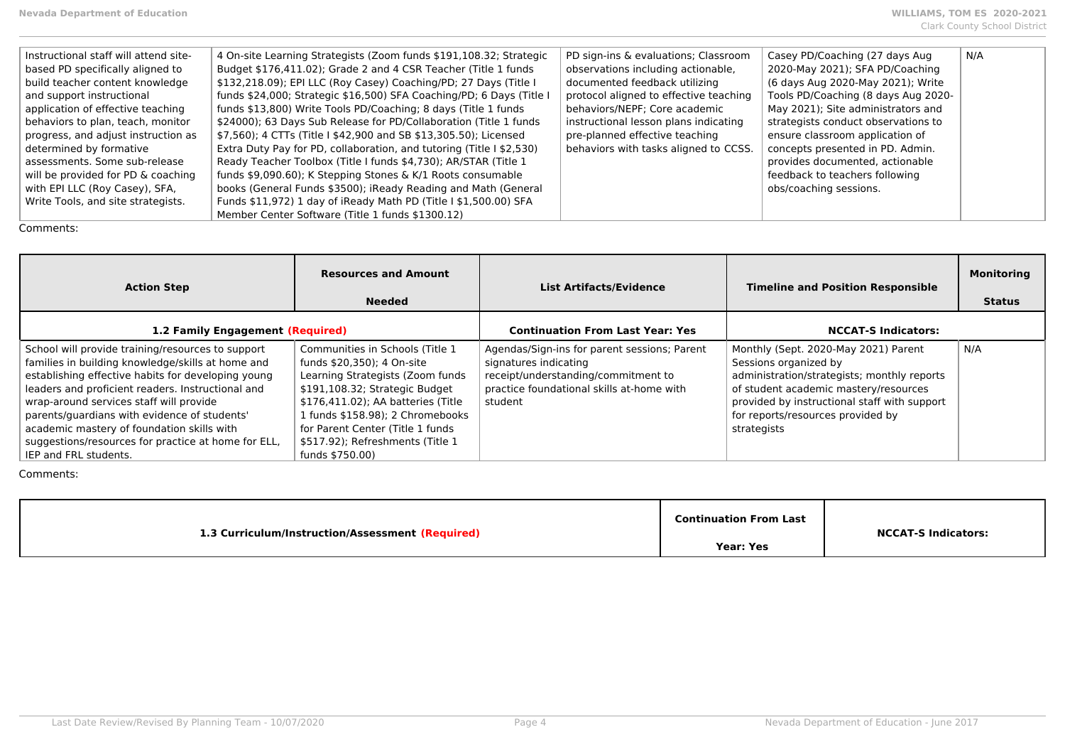| Instructional staff will attend site- | 4 On-site Learning Strategists (Zoom funds \$191,108.32; Strategic   | PD sign-ins & evaluations; Classroom   | Casey PD/Coaching (27 days Aug.     | N/A |
|---------------------------------------|----------------------------------------------------------------------|----------------------------------------|-------------------------------------|-----|
| based PD specifically aligned to      | Budget \$176,411.02); Grade 2 and 4 CSR Teacher (Title 1 funds       | observations including actionable,     | 2020-May 2021); SFA PD/Coaching     |     |
| build teacher content knowledge       | \$132,218.09); EPI LLC (Roy Casey) Coaching/PD; 27 Days (Title I     | documented feedback utilizing          | (6 days Aug 2020-May 2021); Write   |     |
| and support instructional             | funds \$24,000; Strategic \$16,500) SFA Coaching/PD; 6 Days (Title I | protocol aligned to effective teaching | Tools PD/Coaching (8 days Aug 2020- |     |
| application of effective teaching     | funds \$13,800) Write Tools PD/Coaching; 8 days (Title 1 funds       | behaviors/NEPF; Core academic          | May 2021); Site administrators and  |     |
| behaviors to plan, teach, monitor     | \$24000); 63 Days Sub Release for PD/Collaboration (Title 1 funds    | instructional lesson plans indicating  | strategists conduct observations to |     |
| progress, and adjust instruction as   | \$7,560); 4 CTTs (Title I \$42,900 and SB \$13,305.50); Licensed     | pre-planned effective teaching         | ensure classroom application of     |     |
| determined by formative               | Extra Duty Pay for PD, collaboration, and tutoring (Title I \$2,530) | behaviors with tasks aligned to CCSS.  | concepts presented in PD. Admin.    |     |
| assessments. Some sub-release         | Ready Teacher Toolbox (Title I funds \$4,730); AR/STAR (Title 1      |                                        | provides documented, actionable     |     |
| will be provided for PD & coaching    | funds \$9,090.60); K Stepping Stones & K/1 Roots consumable          |                                        | feedback to teachers following      |     |
| with EPI LLC (Roy Casey), SFA,        | books (General Funds \$3500); iReady Reading and Math (General       |                                        | obs/coaching sessions.              |     |
| Write Tools, and site strategists.    | Funds \$11,972) 1 day of iReady Math PD (Title I \$1,500.00) SFA     |                                        |                                     |     |
|                                       | Member Center Software (Title 1 funds \$1300.12)                     |                                        |                                     |     |

| <b>Action Step</b>                                                                                                                                                                                                                                                                                                                                                                                                                         | <b>Resources and Amount</b><br><b>Needed</b>                                                                                                                                                                                                                                                               | <b>List Artifacts/Evidence</b>                                                                                                                                       | <b>Timeline and Position Responsible</b>                                                                                                                                                                                                                  | <b>Monitoring</b><br><b>Status</b> |
|--------------------------------------------------------------------------------------------------------------------------------------------------------------------------------------------------------------------------------------------------------------------------------------------------------------------------------------------------------------------------------------------------------------------------------------------|------------------------------------------------------------------------------------------------------------------------------------------------------------------------------------------------------------------------------------------------------------------------------------------------------------|----------------------------------------------------------------------------------------------------------------------------------------------------------------------|-----------------------------------------------------------------------------------------------------------------------------------------------------------------------------------------------------------------------------------------------------------|------------------------------------|
| 1.2 Family Engagement (Required)                                                                                                                                                                                                                                                                                                                                                                                                           |                                                                                                                                                                                                                                                                                                            | <b>Continuation From Last Year: Yes</b>                                                                                                                              | <b>NCCAT-S Indicators:</b>                                                                                                                                                                                                                                |                                    |
| School will provide training/resources to support<br>families in building knowledge/skills at home and<br>establishing effective habits for developing young<br>leaders and proficient readers. Instructional and<br>wrap-around services staff will provide<br>parents/quardians with evidence of students'<br>academic mastery of foundation skills with<br>suggestions/resources for practice at home for ELL,<br>IEP and FRL students. | Communities in Schools (Title 1)<br>funds \$20,350); 4 On-site<br>Learning Strategists (Zoom funds<br>\$191,108.32; Strategic Budget<br>\$176,411.02); AA batteries (Title<br>1 funds \$158.98); 2 Chromebooks<br>for Parent Center (Title 1 funds)<br>\$517.92); Refreshments (Title 1<br>funds \$750.00) | Agendas/Sign-ins for parent sessions; Parent<br>signatures indicating<br>receipt/understanding/commitment to<br>practice foundational skills at-home with<br>student | Monthly (Sept. 2020-May 2021) Parent<br>Sessions organized by<br>administration/strategists; monthly reports<br>of student academic mastery/resources<br>provided by instructional staff with support<br>for reports/resources provided by<br>strategists | N/A                                |

| 1.3 Curriculum/Instruction/Assessment (Required) | <b>Continuation From Last</b> | <b>NCCAT-S Indicators:</b> |
|--------------------------------------------------|-------------------------------|----------------------------|
|                                                  | <b>Year: Yes</b>              |                            |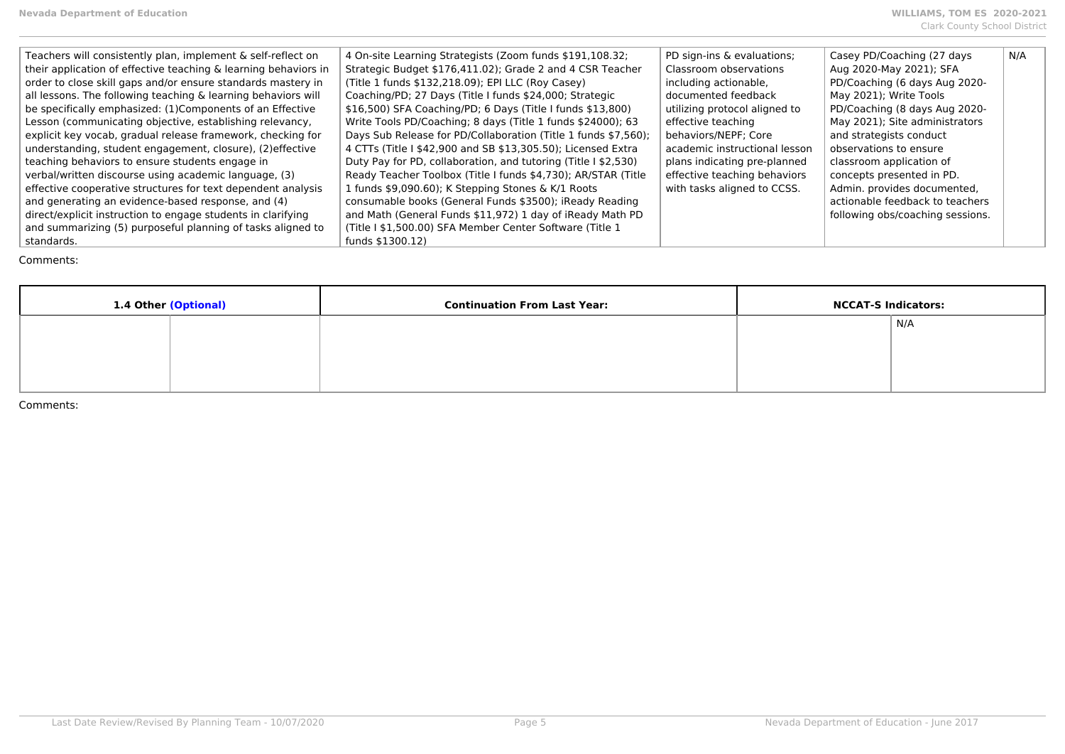| Teachers will consistently plan, implement & self-reflect on    | 4 On-site Learning Strategists (Zoom funds \$191,108.32;       | PD sign-ins & evaluations;    | Casey PD/Coaching (27 days       | N/A |
|-----------------------------------------------------------------|----------------------------------------------------------------|-------------------------------|----------------------------------|-----|
| their application of effective teaching & learning behaviors in | Strategic Budget \$176,411.02); Grade 2 and 4 CSR Teacher      | Classroom observations        | Aug 2020-May 2021); SFA          |     |
| order to close skill gaps and/or ensure standards mastery in    | (Title 1 funds \$132,218.09); EPI LLC (Roy Casey)              | including actionable,         | PD/Coaching (6 days Aug 2020-    |     |
| all lessons. The following teaching & learning behaviors will   | Coaching/PD; 27 Days (Title I funds \$24,000; Strategic        | documented feedback           | May 2021); Write Tools           |     |
| be specifically emphasized: (1) Components of an Effective      | \$16,500) SFA Coaching/PD; 6 Days (Title I funds \$13,800)     | utilizing protocol aligned to | PD/Coaching (8 days Aug 2020-    |     |
| Lesson (communicating objective, establishing relevancy,        | Write Tools PD/Coaching; 8 days (Title 1 funds \$24000); 63    | effective teaching            | May 2021); Site administrators   |     |
| explicit key vocab, gradual release framework, checking for     | Days Sub Release for PD/Collaboration (Title 1 funds \$7,560); | behaviors/NEPF; Core          | and strategists conduct          |     |
| understanding, student engagement, closure), (2) effective      | 4 CTTs (Title I \$42,900 and SB \$13,305.50); Licensed Extra   | academic instructional lesson | observations to ensure           |     |
| teaching behaviors to ensure students engage in                 | Duty Pay for PD, collaboration, and tutoring (Title I \$2,530) | plans indicating pre-planned  | classroom application of         |     |
| verbal/written discourse using academic language, (3)           | Ready Teacher Toolbox (Title I funds \$4,730); AR/STAR (Title  | effective teaching behaviors  | concepts presented in PD.        |     |
| effective cooperative structures for text dependent analysis    | 1 funds \$9,090.60); K Stepping Stones & K/1 Roots             | with tasks aligned to CCSS.   | Admin. provides documented,      |     |
| and generating an evidence-based response, and (4)              | consumable books (General Funds \$3500); iReady Reading        |                               | actionable feedback to teachers  |     |
| direct/explicit instruction to engage students in clarifying    | and Math (General Funds \$11,972) 1 day of iReady Math PD      |                               | following obs/coaching sessions. |     |
| and summarizing (5) purposeful planning of tasks aligned to     | (Title I \$1,500.00) SFA Member Center Software (Title 1       |                               |                                  |     |
| standards.                                                      | funds \$1300.12)                                               |                               |                                  |     |

| 1.4 Other (Optional) |  | <b>Continuation From Last Year:</b> | <b>NCCAT-S Indicators:</b> |     |
|----------------------|--|-------------------------------------|----------------------------|-----|
|                      |  |                                     |                            | N/A |
|                      |  |                                     |                            |     |
|                      |  |                                     |                            |     |
|                      |  |                                     |                            |     |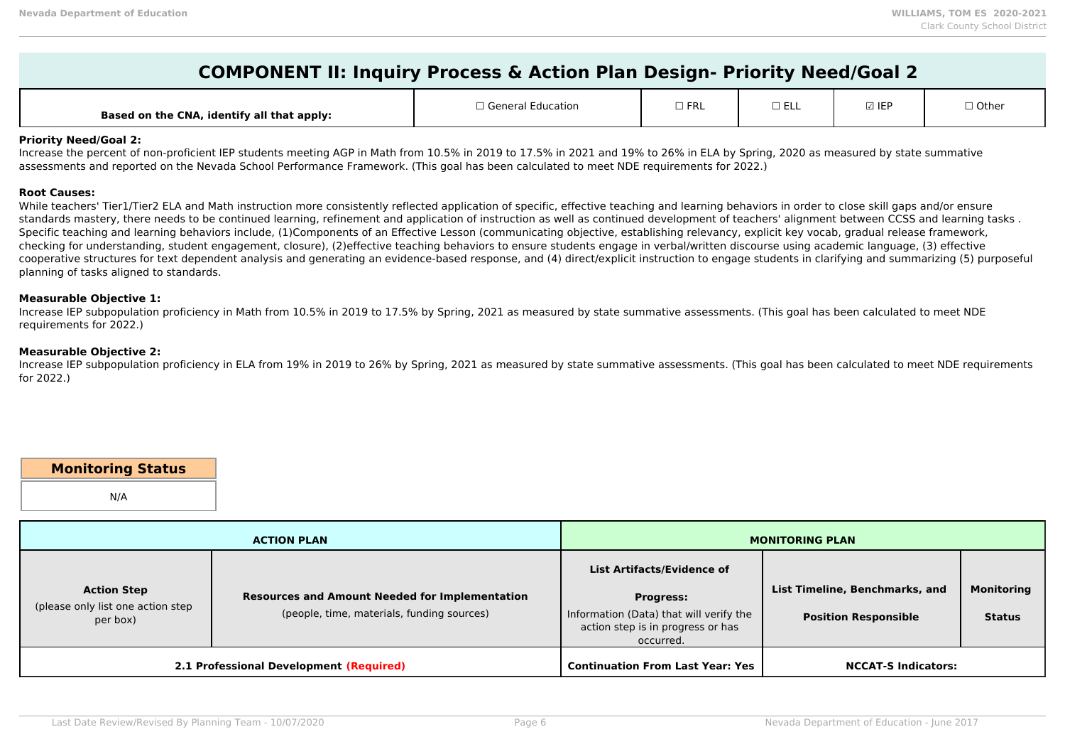| <b>COMPONENT II: Inquiry Process &amp; Action Plan Design- Priority Need/Goal 2</b> |  |
|-------------------------------------------------------------------------------------|--|
|-------------------------------------------------------------------------------------|--|

| <b>Based</b><br>d on the CNA, identify all that apply: | $\Box$ Conoral $\Box$<br>.ation | $\square$ FRL | - - -<br>__ ___ | 710<br>Y IL | $\sqsupset$ Other |
|--------------------------------------------------------|---------------------------------|---------------|-----------------|-------------|-------------------|
|--------------------------------------------------------|---------------------------------|---------------|-----------------|-------------|-------------------|

#### **Priority Need/Goal 2:**

Increase the percent of non-proficient IEP students meeting AGP in Math from 10.5% in 2019 to 17.5% in 2021 and 19% to 26% in ELA by Spring, 2020 as measured by state summative assessments and reported on the Nevada School Performance Framework. (This goal has been calculated to meet NDE requirements for 2022.)

#### **Root Causes:**

While teachers' Tier1/Tier2 ELA and Math instruction more consistently reflected application of specific, effective teaching and learning behaviors in order to close skill gaps and/or ensure standards mastery, there needs to be continued learning, refinement and application of instruction as well as continued development of teachers' alignment between CCSS and learning tasks . Specific teaching and learning behaviors include, (1)Components of an Effective Lesson (communicating objective, establishing relevancy, explicit key vocab, gradual release framework, checking for understanding, student engagement, closure), (2)effective teaching behaviors to ensure students engage in verbal/written discourse using academic language, (3) effective cooperative structures for text dependent analysis and generating an evidence-based response, and (4) direct/explicit instruction to engage students in clarifying and summarizing (5) purposeful planning of tasks aligned to standards.

#### **Measurable Objective 1:**

Increase IEP subpopulation proficiency in Math from 10.5% in 2019 to 17.5% by Spring, 2021 as measured by state summative assessments. (This goal has been calculated to meet NDE requirements for 2022.)

#### **Measurable Objective 2:**

Increase IEP subpopulation proficiency in ELA from 19% in 2019 to 26% by Spring, 2021 as measured by state summative assessments. (This goal has been calculated to meet NDE requirements for 2022.)

### **Monitoring Status**

N/A

| <b>ACTION PLAN</b>                                                  |                                                                                                     |                                                                                                                                                    | <b>MONITORING PLAN</b>                                        |                                    |
|---------------------------------------------------------------------|-----------------------------------------------------------------------------------------------------|----------------------------------------------------------------------------------------------------------------------------------------------------|---------------------------------------------------------------|------------------------------------|
| <b>Action Step</b><br>(please only list one action step<br>per box) | <b>Resources and Amount Needed for Implementation</b><br>(people, time, materials, funding sources) | <b>List Artifacts/Evidence of</b><br><b>Progress:</b><br>Information (Data) that will verify the<br>action step is in progress or has<br>occurred. | List Timeline, Benchmarks, and<br><b>Position Responsible</b> | <b>Monitoring</b><br><b>Status</b> |
|                                                                     | 2.1 Professional Development (Required)                                                             | <b>Continuation From Last Year: Yes</b>                                                                                                            | <b>NCCAT-S Indicators:</b>                                    |                                    |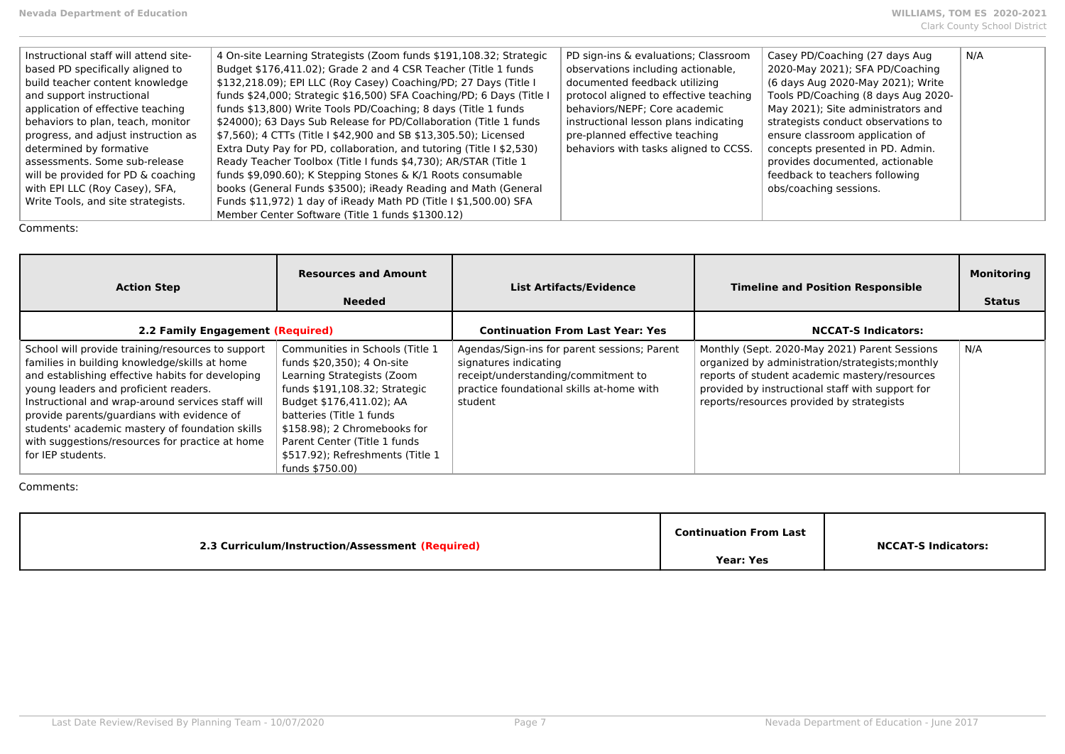| Instructional staff will attend site- | 4 On-site Learning Strategists (Zoom funds \$191,108.32; Strategic   | PD sign-ins & evaluations; Classroom   | Casey PD/Coaching (27 days Aug      | N/A |
|---------------------------------------|----------------------------------------------------------------------|----------------------------------------|-------------------------------------|-----|
| based PD specifically aligned to      | Budget \$176,411.02); Grade 2 and 4 CSR Teacher (Title 1 funds       | observations including actionable,     | 2020-May 2021); SFA PD/Coaching     |     |
| build teacher content knowledge       | \$132,218.09); EPI LLC (Roy Casey) Coaching/PD; 27 Days (Title I     | documented feedback utilizing          | (6 days Aug 2020-May 2021); Write   |     |
| and support instructional             | funds \$24,000; Strategic \$16,500) SFA Coaching/PD; 6 Days (Title I | protocol aligned to effective teaching | Tools PD/Coaching (8 days Aug 2020- |     |
| application of effective teaching     | funds \$13,800) Write Tools PD/Coaching; 8 days (Title 1 funds       | behaviors/NEPF; Core academic          | May 2021); Site administrators and  |     |
| behaviors to plan, teach, monitor     | \$24000); 63 Days Sub Release for PD/Collaboration (Title 1 funds    | instructional lesson plans indicating  | strategists conduct observations to |     |
| progress, and adjust instruction as   | \$7,560); 4 CTTs (Title I \$42,900 and SB \$13,305.50); Licensed     | pre-planned effective teaching         | ensure classroom application of     |     |
| determined by formative               | Extra Duty Pay for PD, collaboration, and tutoring (Title I \$2,530) | behaviors with tasks aligned to CCSS.  | concepts presented in PD. Admin.    |     |
| assessments. Some sub-release         | Ready Teacher Toolbox (Title I funds \$4,730); AR/STAR (Title 1      |                                        | provides documented, actionable     |     |
| will be provided for PD & coaching    | funds \$9,090.60); K Stepping Stones & K/1 Roots consumable          |                                        | feedback to teachers following      |     |
| with EPI LLC (Roy Casey), SFA,        | books (General Funds \$3500); iReady Reading and Math (General       |                                        | obs/coaching sessions.              |     |
| Write Tools, and site strategists.    | Funds \$11,972) 1 day of iReady Math PD (Title I \$1,500.00) SFA     |                                        |                                     |     |
|                                       | Member Center Software (Title 1 funds \$1300.12)                     |                                        |                                     |     |

| <b>Action Step</b>                                                                                                                                                                                                                                                                                                                                                                                                            | <b>Resources and Amount</b><br><b>Needed</b>                                                                                                                                                                                                                                                                 | <b>List Artifacts/Evidence</b>                                                                                                                                       | <b>Timeline and Position Responsible</b>                                                                                                                                                                                                            | <b>Monitoring</b><br><b>Status</b> |
|-------------------------------------------------------------------------------------------------------------------------------------------------------------------------------------------------------------------------------------------------------------------------------------------------------------------------------------------------------------------------------------------------------------------------------|--------------------------------------------------------------------------------------------------------------------------------------------------------------------------------------------------------------------------------------------------------------------------------------------------------------|----------------------------------------------------------------------------------------------------------------------------------------------------------------------|-----------------------------------------------------------------------------------------------------------------------------------------------------------------------------------------------------------------------------------------------------|------------------------------------|
| 2.2 Family Engagement (Required)                                                                                                                                                                                                                                                                                                                                                                                              |                                                                                                                                                                                                                                                                                                              | <b>Continuation From Last Year: Yes</b>                                                                                                                              | <b>NCCAT-S Indicators:</b>                                                                                                                                                                                                                          |                                    |
| School will provide training/resources to support<br>families in building knowledge/skills at home<br>and establishing effective habits for developing<br>young leaders and proficient readers.<br>Instructional and wrap-around services staff will<br>provide parents/quardians with evidence of<br>students' academic mastery of foundation skills<br>with suggestions/resources for practice at home<br>for IEP students. | Communities in Schools (Title 1)<br>funds \$20,350); 4 On-site<br>Learning Strategists (Zoom<br>funds \$191,108.32; Strategic<br>Budget \$176,411.02); AA<br>batteries (Title 1 funds<br>\$158.98); 2 Chromebooks for<br>Parent Center (Title 1 funds<br>\$517.92); Refreshments (Title 1<br>funds \$750.00) | Agendas/Sign-ins for parent sessions; Parent<br>signatures indicating<br>receipt/understanding/commitment to<br>practice foundational skills at-home with<br>student | Monthly (Sept. 2020-May 2021) Parent Sessions<br>organized by administration/strategists; monthly<br>reports of student academic mastery/resources<br>provided by instructional staff with support for<br>reports/resources provided by strategists | N/A                                |

| 2.3 Curriculum/Instruction/Assessment (Required) | Continuation From Last | <b>NCCAT-S Indicators:</b> |
|--------------------------------------------------|------------------------|----------------------------|
|                                                  | <b>Year: Yes</b>       |                            |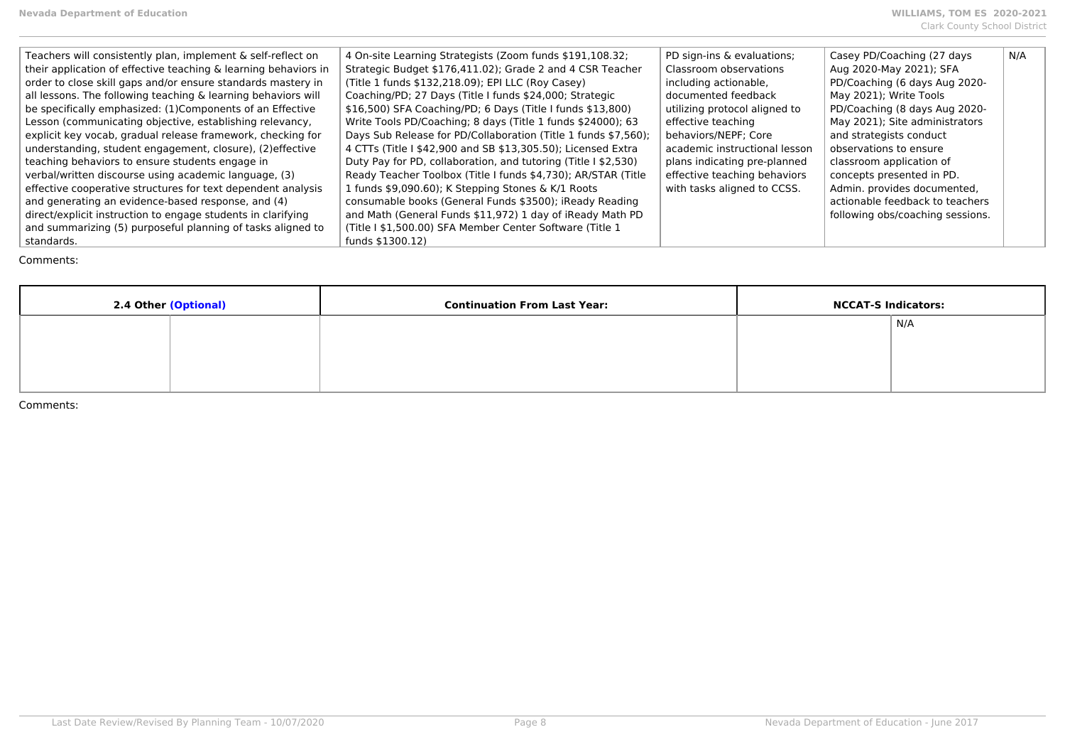| Teachers will consistently plan, implement & self-reflect on    | 4 On-site Learning Strategists (Zoom funds \$191,108.32;       | PD sign-ins & evaluations;    | Casey PD/Coaching (27 days       | N/A |
|-----------------------------------------------------------------|----------------------------------------------------------------|-------------------------------|----------------------------------|-----|
| their application of effective teaching & learning behaviors in | Strategic Budget \$176,411.02); Grade 2 and 4 CSR Teacher      | Classroom observations        | Aug 2020-May 2021); SFA          |     |
| order to close skill gaps and/or ensure standards mastery in    | (Title 1 funds \$132,218.09); EPI LLC (Roy Casey)              | including actionable,         | PD/Coaching (6 days Aug 2020-    |     |
| all lessons. The following teaching & learning behaviors will   | Coaching/PD; 27 Days (Title I funds \$24,000; Strategic        | documented feedback           | May 2021); Write Tools           |     |
| be specifically emphasized: (1) Components of an Effective      | \$16,500) SFA Coaching/PD; 6 Days (Title I funds \$13,800)     | utilizing protocol aligned to | PD/Coaching (8 days Aug 2020-    |     |
| Lesson (communicating objective, establishing relevancy,        | Write Tools PD/Coaching; 8 days (Title 1 funds \$24000); 63    | effective teaching            | May 2021); Site administrators   |     |
| explicit key vocab, gradual release framework, checking for     | Days Sub Release for PD/Collaboration (Title 1 funds \$7,560); | behaviors/NEPF: Core          | and strategists conduct          |     |
| understanding, student engagement, closure), (2) effective      | 4 CTTs (Title I \$42,900 and SB \$13,305.50); Licensed Extra   | academic instructional lesson | observations to ensure           |     |
| teaching behaviors to ensure students engage in                 | Duty Pay for PD, collaboration, and tutoring (Title I \$2,530) | plans indicating pre-planned  | classroom application of         |     |
| verbal/written discourse using academic language, (3)           | Ready Teacher Toolbox (Title I funds \$4,730); AR/STAR (Title  | effective teaching behaviors  | concepts presented in PD.        |     |
| effective cooperative structures for text dependent analysis    | 1 funds \$9,090.60); K Stepping Stones & K/1 Roots             | with tasks aligned to CCSS.   | Admin. provides documented,      |     |
| and generating an evidence-based response, and (4)              | consumable books (General Funds \$3500); iReady Reading        |                               | actionable feedback to teachers  |     |
| direct/explicit instruction to engage students in clarifying    | and Math (General Funds \$11,972) 1 day of iReady Math PD      |                               | following obs/coaching sessions. |     |
| and summarizing (5) purposeful planning of tasks aligned to     | (Title I \$1,500.00) SFA Member Center Software (Title 1)      |                               |                                  |     |
| standards.                                                      | funds \$1300.12)                                               |                               |                                  |     |

| 2.4 Other (Optional) | <b>Continuation From Last Year:</b> | <b>NCCAT-S Indicators:</b> |     |
|----------------------|-------------------------------------|----------------------------|-----|
|                      |                                     |                            | N/A |
|                      |                                     |                            |     |
|                      |                                     |                            |     |
|                      |                                     |                            |     |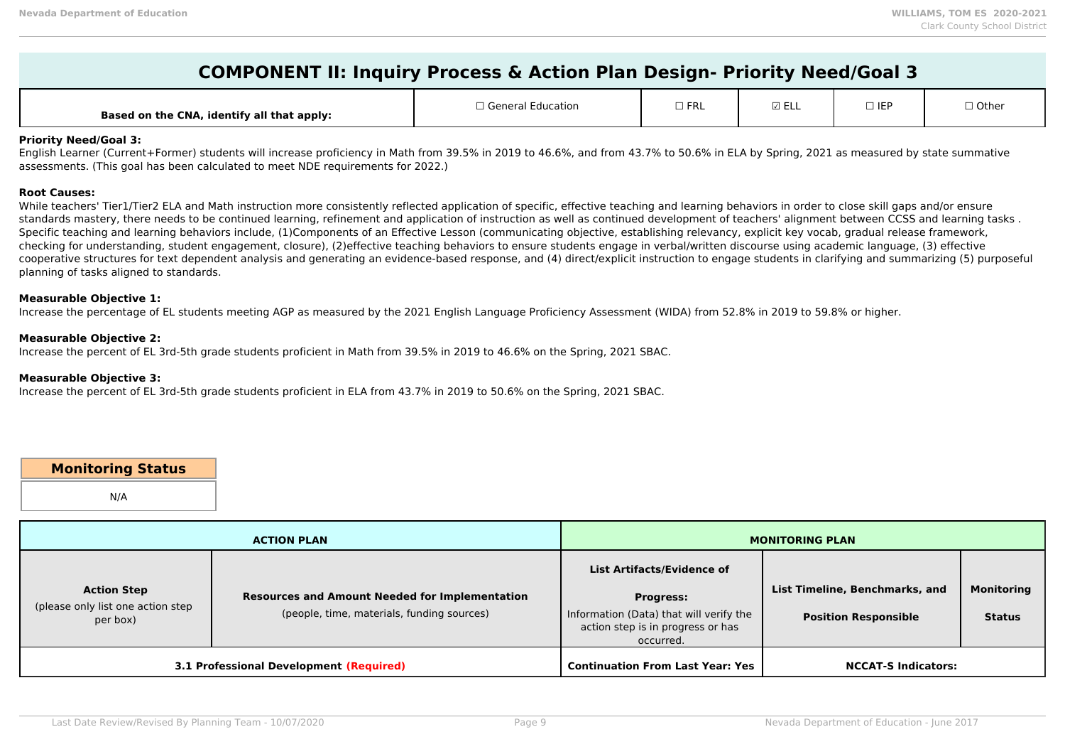# **COMPONENT II: Inquiry Process & Action Plan Design- Priority Need/Goal 3**

| Based on the CNA, identify all that apply: | I General Education | $ -$<br>1 N L | ⊠ ELL | $\Box$ IEP | $\Box$ Other |
|--------------------------------------------|---------------------|---------------|-------|------------|--------------|
|--------------------------------------------|---------------------|---------------|-------|------------|--------------|

#### **Priority Need/Goal 3:**

English Learner (Current+Former) students will increase proficiency in Math from 39.5% in 2019 to 46.6%, and from 43.7% to 50.6% in ELA by Spring, 2021 as measured by state summative assessments. (This goal has been calculated to meet NDE requirements for 2022.)

#### **Root Causes:**

While teachers' Tier1/Tier2 ELA and Math instruction more consistently reflected application of specific, effective teaching and learning behaviors in order to close skill gaps and/or ensure standards mastery, there needs to be continued learning, refinement and application of instruction as well as continued development of teachers' alignment between CCSS and learning tasks . Specific teaching and learning behaviors include, (1)Components of an Effective Lesson (communicating objective, establishing relevancy, explicit key vocab, gradual release framework, checking for understanding, student engagement, closure), (2)effective teaching behaviors to ensure students engage in verbal/written discourse using academic language, (3) effective cooperative structures for text dependent analysis and generating an evidence-based response, and (4) direct/explicit instruction to engage students in clarifying and summarizing (5) purposeful planning of tasks aligned to standards.

#### **Measurable Objective 1:**

Increase the percentage of EL students meeting AGP as measured by the 2021 English Language Proficiency Assessment (WIDA) from 52.8% in 2019 to 59.8% or higher.

#### **Measurable Objective 2:**

Increase the percent of EL 3rd-5th grade students proficient in Math from 39.5% in 2019 to 46.6% on the Spring, 2021 SBAC.

#### **Measurable Objective 3:**

Increase the percent of EL 3rd-5th grade students proficient in ELA from 43.7% in 2019 to 50.6% on the Spring, 2021 SBAC.

# **Monitoring Status**

N/A

| <b>ACTION PLAN</b>                                                  |                                                                                                     | <b>MONITORING PLAN</b>                                                                                                                      |                                                               |                                    |
|---------------------------------------------------------------------|-----------------------------------------------------------------------------------------------------|---------------------------------------------------------------------------------------------------------------------------------------------|---------------------------------------------------------------|------------------------------------|
| <b>Action Step</b><br>(please only list one action step<br>per box) | <b>Resources and Amount Needed for Implementation</b><br>(people, time, materials, funding sources) | List Artifacts/Evidence of<br><b>Progress:</b><br>Information (Data) that will verify the<br>action step is in progress or has<br>occurred. | List Timeline, Benchmarks, and<br><b>Position Responsible</b> | <b>Monitoring</b><br><b>Status</b> |
|                                                                     | <b>3.1 Professional Development (Required)</b>                                                      | <b>Continuation From Last Year: Yes</b>                                                                                                     | <b>NCCAT-S Indicators:</b>                                    |                                    |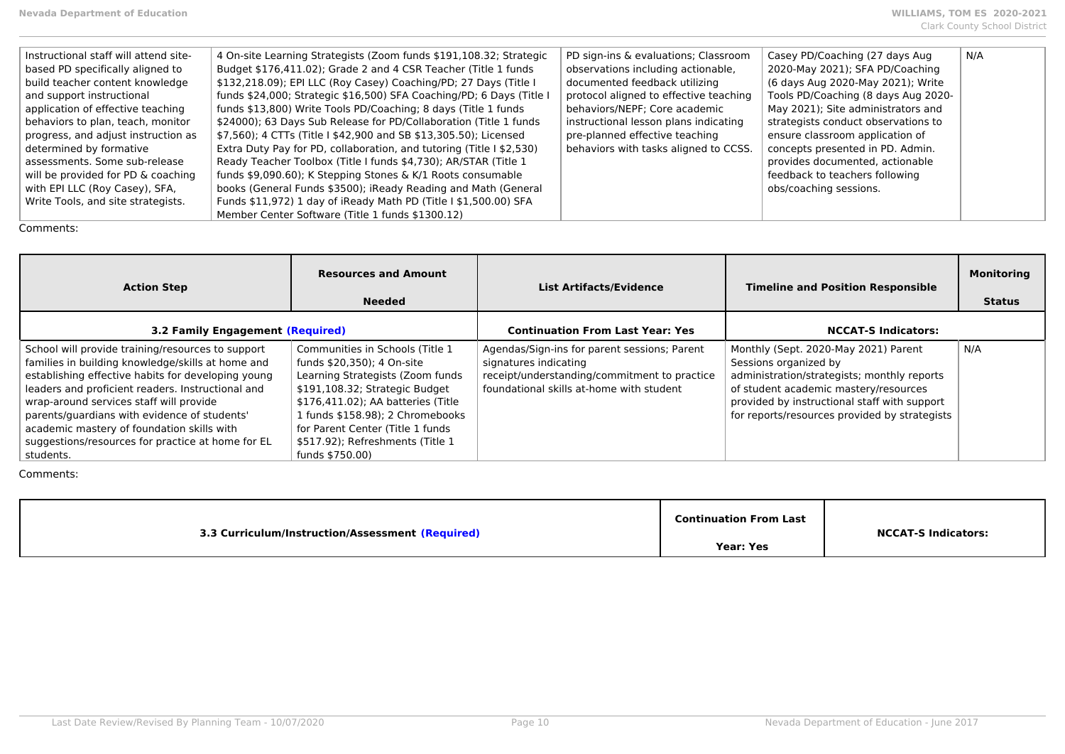| Instructional staff will attend site- | 4 On-site Learning Strategists (Zoom funds \$191,108.32; Strategic   | PD sign-ins & evaluations; Classroom   | Casey PD/Coaching (27 days Aug.     | N/A |
|---------------------------------------|----------------------------------------------------------------------|----------------------------------------|-------------------------------------|-----|
| based PD specifically aligned to      | Budget \$176,411.02); Grade 2 and 4 CSR Teacher (Title 1 funds       | observations including actionable,     | 2020-May 2021); SFA PD/Coaching     |     |
| build teacher content knowledge       | \$132,218.09); EPI LLC (Roy Casey) Coaching/PD; 27 Days (Title I     | documented feedback utilizing          | (6 days Aug 2020-May 2021); Write   |     |
| and support instructional             | funds \$24,000; Strategic \$16,500) SFA Coaching/PD; 6 Days (Title I | protocol aligned to effective teaching | Tools PD/Coaching (8 days Aug 2020- |     |
| application of effective teaching     | funds \$13,800) Write Tools PD/Coaching; 8 days (Title 1 funds       | behaviors/NEPF; Core academic          | May 2021); Site administrators and  |     |
| behaviors to plan, teach, monitor     | \$24000); 63 Days Sub Release for PD/Collaboration (Title 1 funds    | instructional lesson plans indicating  | strategists conduct observations to |     |
| progress, and adjust instruction as   | \$7,560); 4 CTTs (Title I \$42,900 and SB \$13,305.50); Licensed     | pre-planned effective teaching         | ensure classroom application of     |     |
| determined by formative               | Extra Duty Pay for PD, collaboration, and tutoring (Title I \$2,530) | behaviors with tasks aligned to CCSS.  | concepts presented in PD. Admin.    |     |
| assessments. Some sub-release         | Ready Teacher Toolbox (Title I funds \$4,730); AR/STAR (Title 1      |                                        | provides documented, actionable     |     |
| will be provided for PD & coaching    | funds \$9,090.60); K Stepping Stones & K/1 Roots consumable          |                                        | feedback to teachers following      |     |
| with EPI LLC (Roy Casey), SFA,        | books (General Funds \$3500); iReady Reading and Math (General       |                                        | obs/coaching sessions.              |     |
| Write Tools, and site strategists.    | Funds \$11,972) 1 day of iReady Math PD (Title I \$1,500.00) SFA     |                                        |                                     |     |
|                                       | Member Center Software (Title 1 funds \$1300.12)                     |                                        |                                     |     |

| <b>Action Step</b>                                                                                                                                                                                                                                                                                                                                                                                                           | <b>Resources and Amount</b><br><b>Needed</b>                                                                                                                                                                                                                                                             | <b>List Artifacts/Evidence</b>                                                                                                                                    | <b>Timeline and Position Responsible</b>                                                                                                                                                                                                               | <b>Monitoring</b><br><b>Status</b> |
|------------------------------------------------------------------------------------------------------------------------------------------------------------------------------------------------------------------------------------------------------------------------------------------------------------------------------------------------------------------------------------------------------------------------------|----------------------------------------------------------------------------------------------------------------------------------------------------------------------------------------------------------------------------------------------------------------------------------------------------------|-------------------------------------------------------------------------------------------------------------------------------------------------------------------|--------------------------------------------------------------------------------------------------------------------------------------------------------------------------------------------------------------------------------------------------------|------------------------------------|
| 3.2 Family Engagement (Required)                                                                                                                                                                                                                                                                                                                                                                                             |                                                                                                                                                                                                                                                                                                          | <b>Continuation From Last Year: Yes</b>                                                                                                                           | <b>NCCAT-S Indicators:</b>                                                                                                                                                                                                                             |                                    |
| School will provide training/resources to support<br>families in building knowledge/skills at home and<br>establishing effective habits for developing young<br>leaders and proficient readers. Instructional and<br>wrap-around services staff will provide<br>parents/guardians with evidence of students'<br>academic mastery of foundation skills with<br>suggestions/resources for practice at home for EL<br>students. | Communities in Schools (Title 1<br>funds \$20,350); 4 On-site<br>Learning Strategists (Zoom funds<br>\$191,108.32; Strategic Budget<br>\$176,411.02); AA batteries (Title<br>1 funds \$158.98); 2 Chromebooks<br>for Parent Center (Title 1 funds<br>\$517.92); Refreshments (Title 1<br>funds \$750.00) | Agendas/Sign-ins for parent sessions; Parent<br>signatures indicating<br>receipt/understanding/commitment to practice<br>foundational skills at-home with student | Monthly (Sept. 2020-May 2021) Parent<br>Sessions organized by<br>administration/strategists; monthly reports<br>of student academic mastery/resources<br>provided by instructional staff with support<br>for reports/resources provided by strategists | N/A                                |

| 3.3 Curriculum/Instruction/Assessment (Required) | <b>Continuation From Last</b> | <b>NCCAT-S Indicators:</b> |
|--------------------------------------------------|-------------------------------|----------------------------|
|                                                  | <b>Year: Yes</b>              |                            |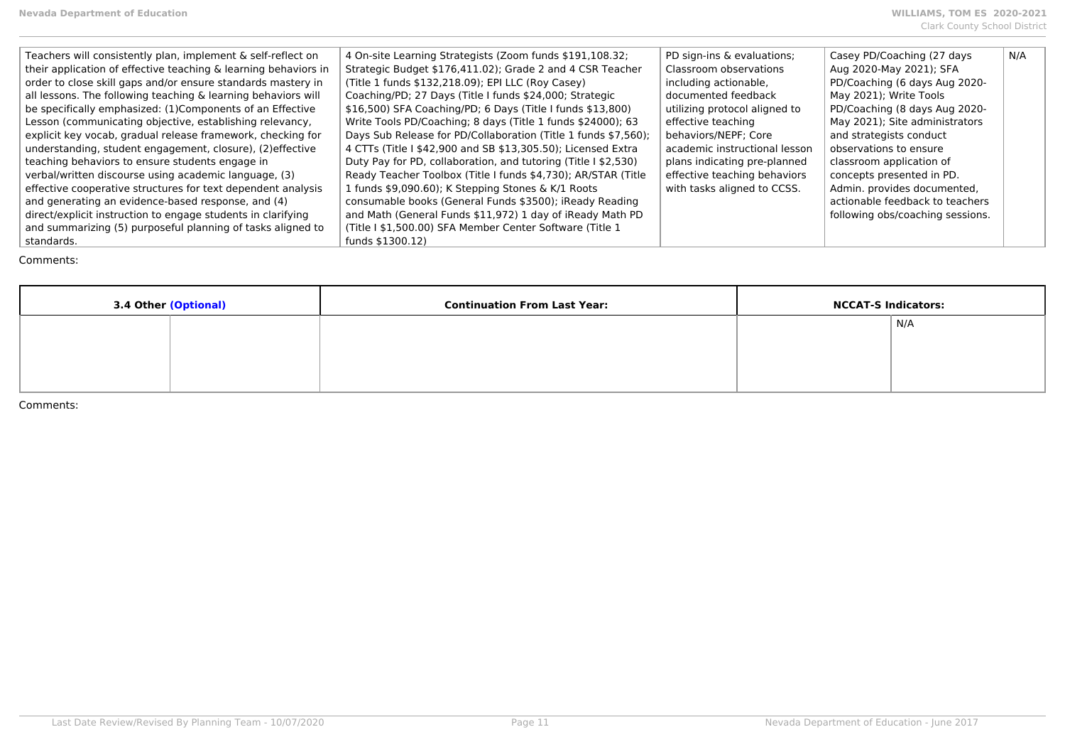| Teachers will consistently plan, implement & self-reflect on    | 4 On-site Learning Strategists (Zoom funds \$191,108.32;       | PD sign-ins & evaluations;    | Casey PD/Coaching (27 days       | N/A |
|-----------------------------------------------------------------|----------------------------------------------------------------|-------------------------------|----------------------------------|-----|
| their application of effective teaching & learning behaviors in | Strategic Budget \$176,411.02); Grade 2 and 4 CSR Teacher      | Classroom observations        | Aug 2020-May 2021); SFA          |     |
| order to close skill gaps and/or ensure standards mastery in    | (Title 1 funds \$132,218.09); EPI LLC (Roy Casey)              | including actionable,         | PD/Coaching (6 days Aug 2020-    |     |
| all lessons. The following teaching & learning behaviors will   | Coaching/PD; 27 Days (Title I funds \$24,000; Strategic        | documented feedback           | May 2021); Write Tools           |     |
| be specifically emphasized: (1) Components of an Effective      | \$16,500) SFA Coaching/PD; 6 Days (Title I funds \$13,800)     | utilizing protocol aligned to | PD/Coaching (8 days Aug 2020-    |     |
| Lesson (communicating objective, establishing relevancy,        | Write Tools PD/Coaching; 8 days (Title 1 funds \$24000); 63    | effective teaching            | May 2021); Site administrators   |     |
| explicit key vocab, gradual release framework, checking for     | Days Sub Release for PD/Collaboration (Title 1 funds \$7,560); | behaviors/NEPF; Core          | and strategists conduct          |     |
| understanding, student engagement, closure), (2) effective      | 4 CTTs (Title I \$42,900 and SB \$13,305.50); Licensed Extra   | academic instructional lesson | observations to ensure           |     |
| teaching behaviors to ensure students engage in                 | Duty Pay for PD, collaboration, and tutoring (Title I \$2,530) | plans indicating pre-planned  | classroom application of         |     |
| verbal/written discourse using academic language, (3)           | Ready Teacher Toolbox (Title I funds \$4,730); AR/STAR (Title  | effective teaching behaviors  | concepts presented in PD.        |     |
| effective cooperative structures for text dependent analysis    | 1 funds \$9,090.60); K Stepping Stones & K/1 Roots             | with tasks aligned to CCSS.   | Admin. provides documented,      |     |
| and generating an evidence-based response, and (4)              | consumable books (General Funds \$3500); iReady Reading        |                               | actionable feedback to teachers  |     |
| direct/explicit instruction to engage students in clarifying    | and Math (General Funds \$11,972) 1 day of iReady Math PD      |                               | following obs/coaching sessions. |     |
| and summarizing (5) purposeful planning of tasks aligned to     | (Title I \$1,500.00) SFA Member Center Software (Title 1       |                               |                                  |     |
| standards.                                                      | funds \$1300.12)                                               |                               |                                  |     |

| 3.4 Other (Optional) | <b>Continuation From Last Year:</b> | <b>NCCAT-S Indicators:</b> |     |
|----------------------|-------------------------------------|----------------------------|-----|
|                      |                                     |                            | N/A |
|                      |                                     |                            |     |
|                      |                                     |                            |     |
|                      |                                     |                            |     |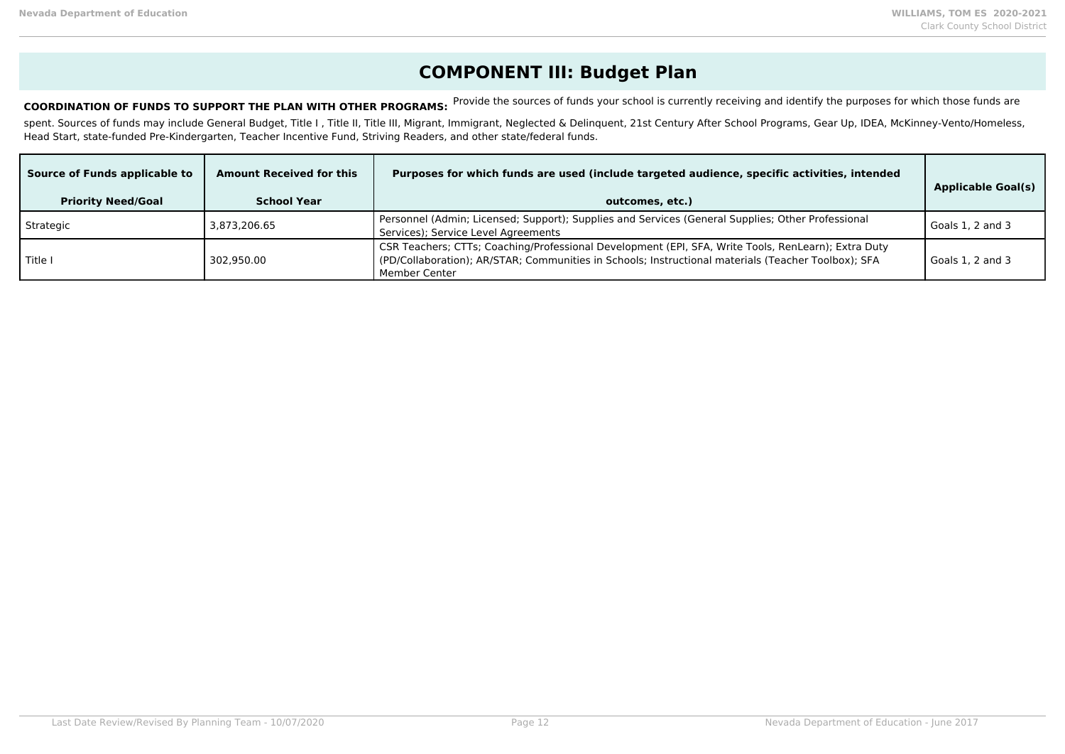## **COMPONENT III: Budget Plan**

COORDINATION OF FUNDS TO SUPPORT THE PLAN WITH OTHER PROGRAMS: Provide the sources of funds your school is currently receiving and identify the purposes for which those funds are

spent. Sources of funds may include General Budget, Title I, Title II, Title III, Migrant, Immigrant, Neglected & Delinquent, 21st Century After School Programs, Gear Up, IDEA, McKinney-Vento/Homeless, Head Start, state-funded Pre-Kindergarten, Teacher Incentive Fund, Striving Readers, and other state/federal funds.

| Source of Funds applicable to<br><b>Priority Need/Goal</b> | <b>Amount Received for this</b><br><b>School Year</b> | Purposes for which funds are used (include targeted audience, specific activities, intended<br>outcomes, etc.)                                                                                                              | <b>Applicable Goal(s)</b> |
|------------------------------------------------------------|-------------------------------------------------------|-----------------------------------------------------------------------------------------------------------------------------------------------------------------------------------------------------------------------------|---------------------------|
| Strategic                                                  | 3.873.206.65                                          | Personnel (Admin; Licensed; Support); Supplies and Services (General Supplies; Other Professional<br>Services); Service Level Agreements                                                                                    | Goals 1, 2 and 3          |
| Title I                                                    | 302.950.00                                            | CSR Teachers; CTTs; Coaching/Professional Development (EPI, SFA, Write Tools, RenLearn); Extra Duty<br>(PD/Collaboration); AR/STAR; Communities in Schools; Instructional materials (Teacher Toolbox); SFA<br>Member Center | Goals 1, 2 and 3          |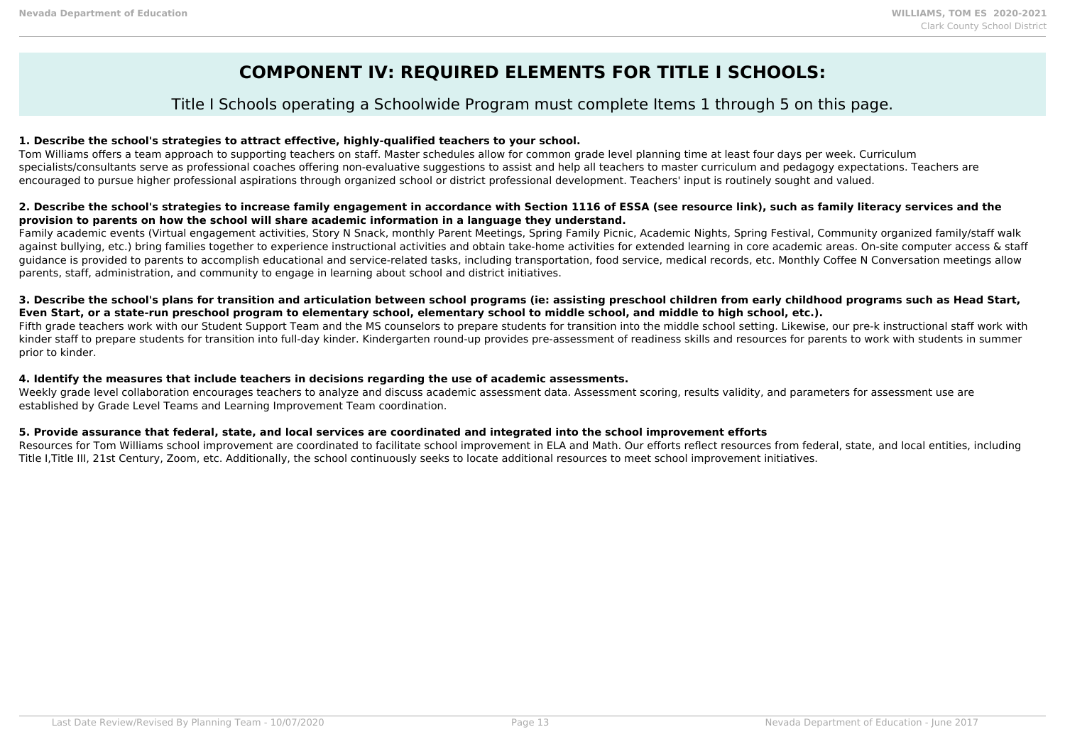## **COMPONENT IV: REQUIRED ELEMENTS FOR TITLE I SCHOOLS:**

### Title I Schools operating a Schoolwide Program must complete Items 1 through 5 on this page.

#### **1. Describe the school's strategies to attract effective, highly-qualified teachers to your school.**

Tom Williams offers a team approach to supporting teachers on staff. Master schedules allow for common grade level planning time at least four days per week. Curriculum specialists/consultants serve as professional coaches offering non-evaluative suggestions to assist and help all teachers to master curriculum and pedagogy expectations. Teachers are encouraged to pursue higher professional aspirations through organized school or district professional development. Teachers' input is routinely sought and valued.

#### **2. Describe the school's strategies to increase family engagement in accordance with Section 1116 of ESSA (see resource link), such as family literacy services and the provision to parents on how the school will share academic information in a language they understand.**

Family academic events (Virtual engagement activities, Story N Snack, monthly Parent Meetings, Spring Family Picnic, Academic Nights, Spring Festival, Community organized family/staff walk against bullying, etc.) bring families together to experience instructional activities and obtain take-home activities for extended learning in core academic areas. On-site computer access & staff guidance is provided to parents to accomplish educational and service-related tasks, including transportation, food service, medical records, etc. Monthly Coffee N Conversation meetings allow parents, staff, administration, and community to engage in learning about school and district initiatives.

#### **3. Describe the school's plans for transition and articulation between school programs (ie: assisting preschool children from early childhood programs such as Head Start, Even Start, or a state-run preschool program to elementary school, elementary school to middle school, and middle to high school, etc.).**

Fifth grade teachers work with our Student Support Team and the MS counselors to prepare students for transition into the middle school setting. Likewise, our pre-k instructional staff work with kinder staff to prepare students for transition into full-day kinder. Kindergarten round-up provides pre-assessment of readiness skills and resources for parents to work with students in summer prior to kinder.

#### **4. Identify the measures that include teachers in decisions regarding the use of academic assessments.**

Weekly grade level collaboration encourages teachers to analyze and discuss academic assessment data. Assessment scoring, results validity, and parameters for assessment use are established by Grade Level Teams and Learning Improvement Team coordination.

#### **5. Provide assurance that federal, state, and local services are coordinated and integrated into the school improvement efforts**

Resources for Tom Williams school improvement are coordinated to facilitate school improvement in ELA and Math. Our efforts reflect resources from federal, state, and local entities, including Title I,Title III, 21st Century, Zoom, etc. Additionally, the school continuously seeks to locate additional resources to meet school improvement initiatives.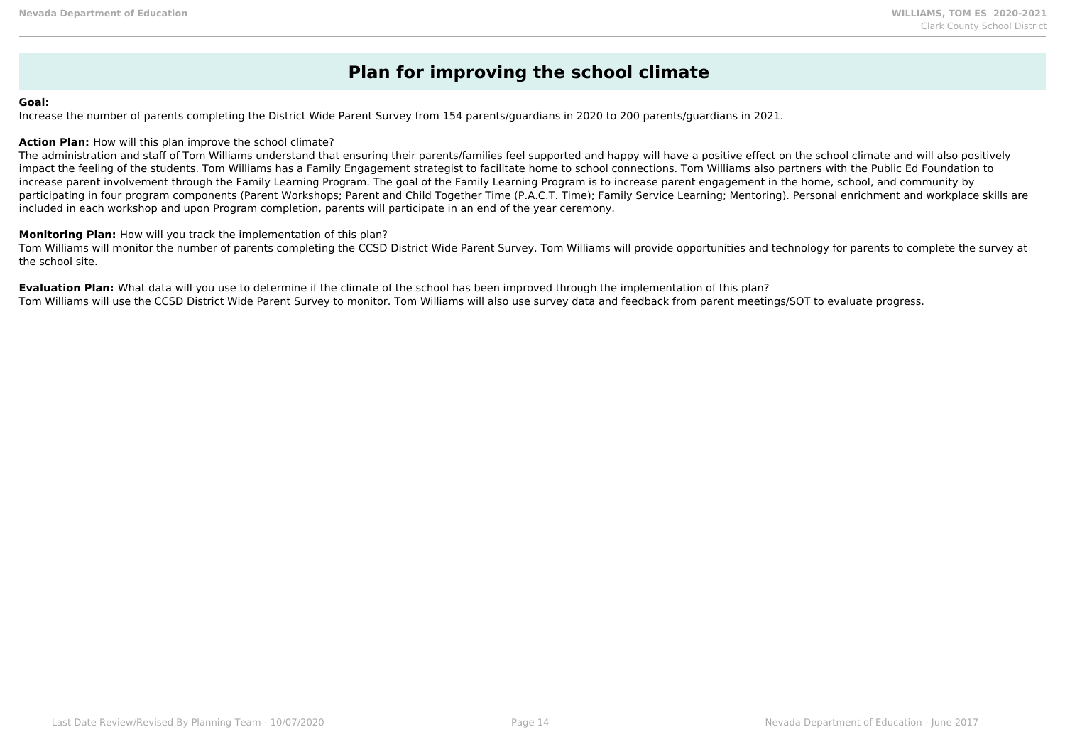## **Plan for improving the school climate**

#### **Goal:**

Increase the number of parents completing the District Wide Parent Survey from 154 parents/guardians in 2020 to 200 parents/guardians in 2021.

#### **Action Plan:** How will this plan improve the school climate?

The administration and staff of Tom Williams understand that ensuring their parents/families feel supported and happy will have a positive effect on the school climate and will also positively impact the feeling of the students. Tom Williams has a Family Engagement strategist to facilitate home to school connections. Tom Williams also partners with the Public Ed Foundation to increase parent involvement through the Family Learning Program. The goal of the Family Learning Program is to increase parent engagement in the home, school, and community by participating in four program components (Parent Workshops; Parent and Child Together Time (P.A.C.T. Time); Family Service Learning; Mentoring). Personal enrichment and workplace skills are included in each workshop and upon Program completion, parents will participate in an end of the year ceremony.

#### **Monitoring Plan:** How will you track the implementation of this plan?

Tom Williams will monitor the number of parents completing the CCSD District Wide Parent Survey. Tom Williams will provide opportunities and technology for parents to complete the survey at the school site.

**Evaluation Plan:** What data will you use to determine if the climate of the school has been improved through the implementation of this plan? Tom Williams will use the CCSD District Wide Parent Survey to monitor. Tom Williams will also use survey data and feedback from parent meetings/SOT to evaluate progress.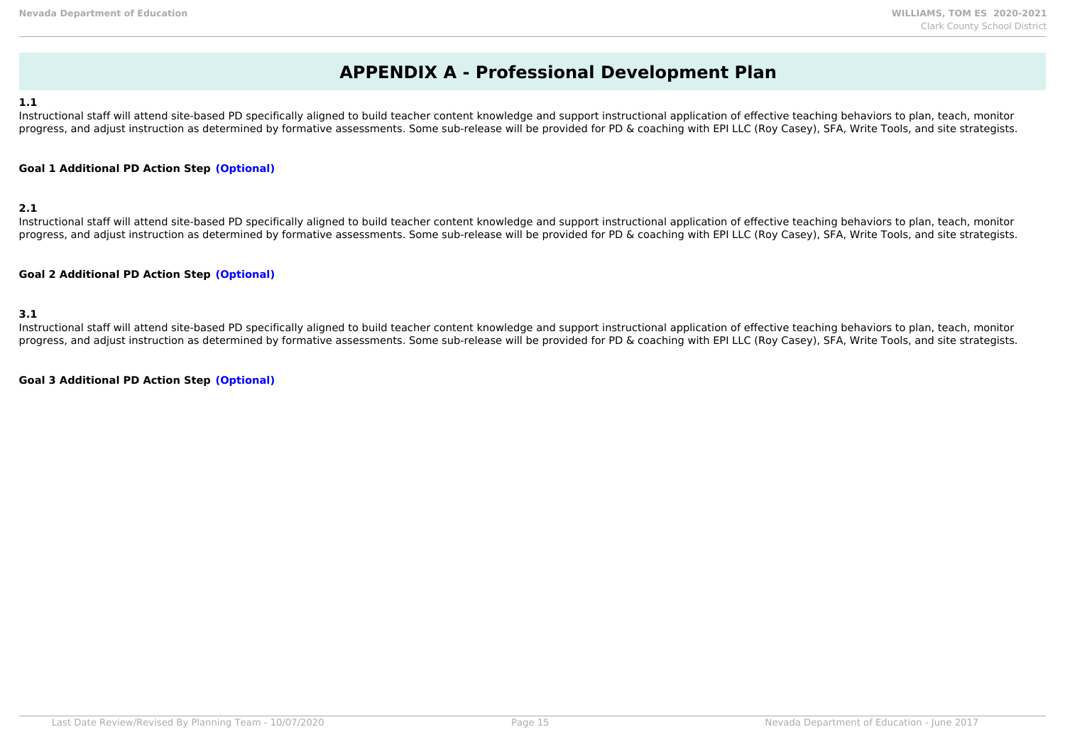### **APPENDIX A - Professional Development Plan**

#### **1.1**

Instructional staff will attend site-based PD specifically aligned to build teacher content knowledge and support instructional application of effective teaching behaviors to plan, teach, monitor progress, and adjust instruction as determined by formative assessments. Some sub-release will be provided for PD & coaching with EPI LLC (Roy Casey), SFA, Write Tools, and site strategists.

#### **Goal 1 Additional PD Action Step (Optional)**

#### **2.1**

Instructional staff will attend site-based PD specifically aligned to build teacher content knowledge and support instructional application of effective teaching behaviors to plan, teach, monitor progress, and adjust instruction as determined by formative assessments. Some sub-release will be provided for PD & coaching with EPI LLC (Roy Casey), SFA, Write Tools, and site strategists.

#### **Goal 2 Additional PD Action Step (Optional)**

#### **3.1**

Instructional staff will attend site-based PD specifically aligned to build teacher content knowledge and support instructional application of effective teaching behaviors to plan, teach, monitor progress, and adjust instruction as determined by formative assessments. Some sub-release will be provided for PD & coaching with EPI LLC (Roy Casey), SFA, Write Tools, and site strategists.

**Goal 3 Additional PD Action Step (Optional)**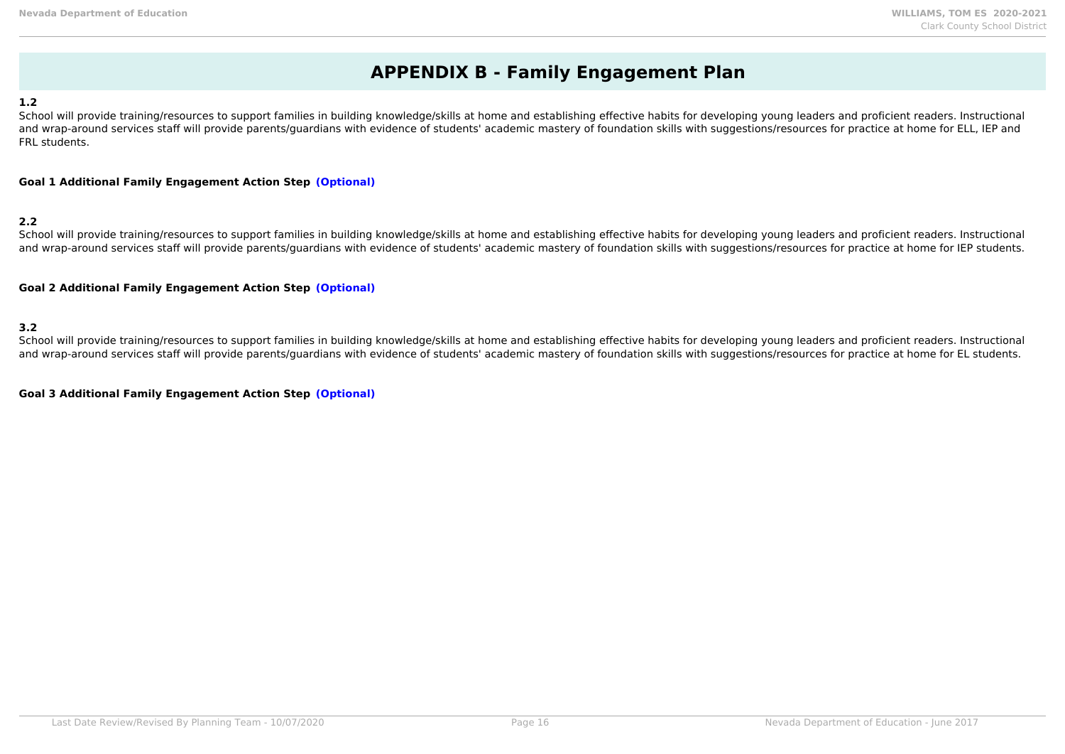### **APPENDIX B - Family Engagement Plan**

#### **1.2**

School will provide training/resources to support families in building knowledge/skills at home and establishing effective habits for developing young leaders and proficient readers. Instructional and wrap-around services staff will provide parents/guardians with evidence of students' academic mastery of foundation skills with suggestions/resources for practice at home for ELL, IEP and FRL students.

#### **Goal 1 Additional Family Engagement Action Step (Optional)**

#### **2.2**

School will provide training/resources to support families in building knowledge/skills at home and establishing effective habits for developing young leaders and proficient readers. Instructional and wrap-around services staff will provide parents/guardians with evidence of students' academic mastery of foundation skills with suggestions/resources for practice at home for IEP students.

#### **Goal 2 Additional Family Engagement Action Step (Optional)**

**3.2**

School will provide training/resources to support families in building knowledge/skills at home and establishing effective habits for developing young leaders and proficient readers. Instructional and wrap-around services staff will provide parents/quardians with evidence of students' academic mastery of foundation skills with suggestions/resources for practice at home for EL students.

**Goal 3 Additional Family Engagement Action Step (Optional)**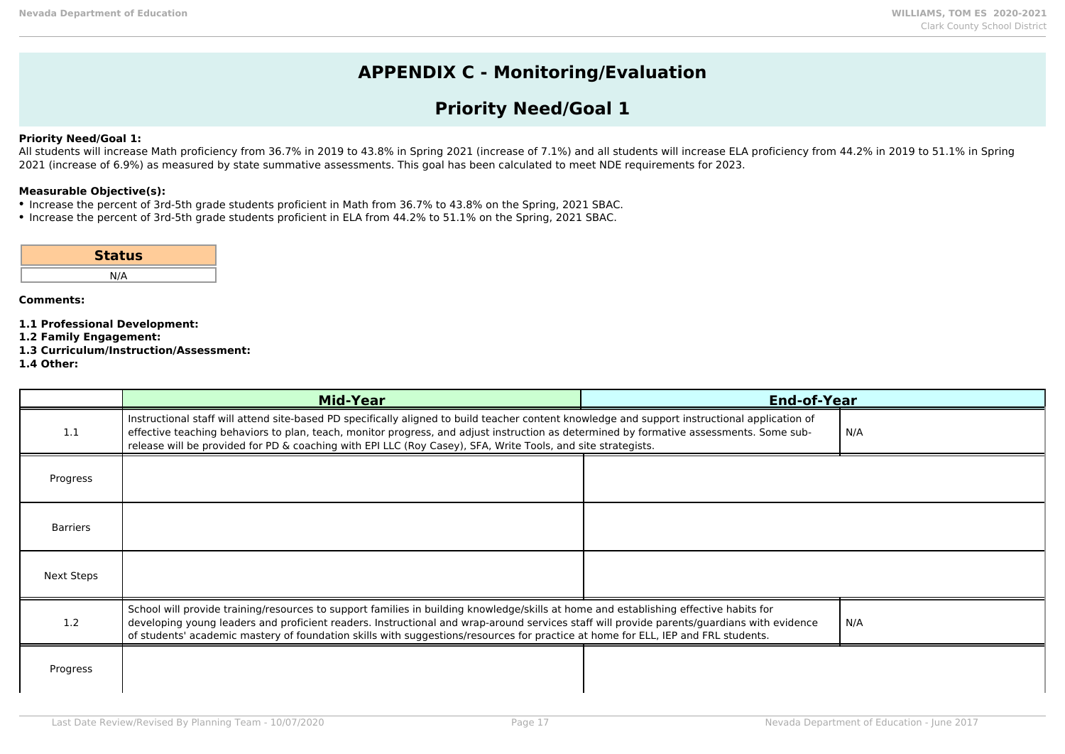# **APPENDIX C - Monitoring/Evaluation**

## **Priority Need/Goal 1**

#### **Priority Need/Goal 1:**

All students will increase Math proficiency from 36.7% in 2019 to 43.8% in Spring 2021 (increase of 7.1%) and all students will increase ELA proficiency from 44.2% in 2019 to 51.1% in Spring 2021 (increase of 6.9%) as measured by state summative assessments. This goal has been calculated to meet NDE requirements for 2023.

#### **Measurable Objective(s):**

- Increase the percent of 3rd-5th grade students proficient in Math from 36.7% to 43.8% on the Spring, 2021 SBAC.
- Increase the percent of 3rd-5th grade students proficient in ELA from 44.2% to 51.1% on the Spring, 2021 SBAC.

| <b>Status</b> |  |
|---------------|--|
| N/A           |  |

- **1.1 Professional Development:**
- **1.2 Family Engagement:**
- **1.3 Curriculum/Instruction/Assessment:**
- **1.4 Other:**

|                 | <b>Mid-Year</b>                                                                                                                                                                                                                                                                                                                                                                                                          | <b>End-of-Year</b> |       |
|-----------------|--------------------------------------------------------------------------------------------------------------------------------------------------------------------------------------------------------------------------------------------------------------------------------------------------------------------------------------------------------------------------------------------------------------------------|--------------------|-------|
| 1.1             | Instructional staff will attend site-based PD specifically aligned to build teacher content knowledge and support instructional application of<br>effective teaching behaviors to plan, teach, monitor progress, and adjust instruction as determined by formative assessments. Some sub-<br>release will be provided for PD & coaching with EPI LLC (Roy Casey), SFA, Write Tools, and site strategists.                |                    | l N/A |
| Progress        |                                                                                                                                                                                                                                                                                                                                                                                                                          |                    |       |
| <b>Barriers</b> |                                                                                                                                                                                                                                                                                                                                                                                                                          |                    |       |
| Next Steps      |                                                                                                                                                                                                                                                                                                                                                                                                                          |                    |       |
| 1.2             | School will provide training/resources to support families in building knowledge/skills at home and establishing effective habits for<br>developing young leaders and proficient readers. Instructional and wrap-around services staff will provide parents/guardians with evidence<br>of students' academic mastery of foundation skills with suggestions/resources for practice at home for ELL, IEP and FRL students. |                    | N/A   |
| Progress        |                                                                                                                                                                                                                                                                                                                                                                                                                          |                    |       |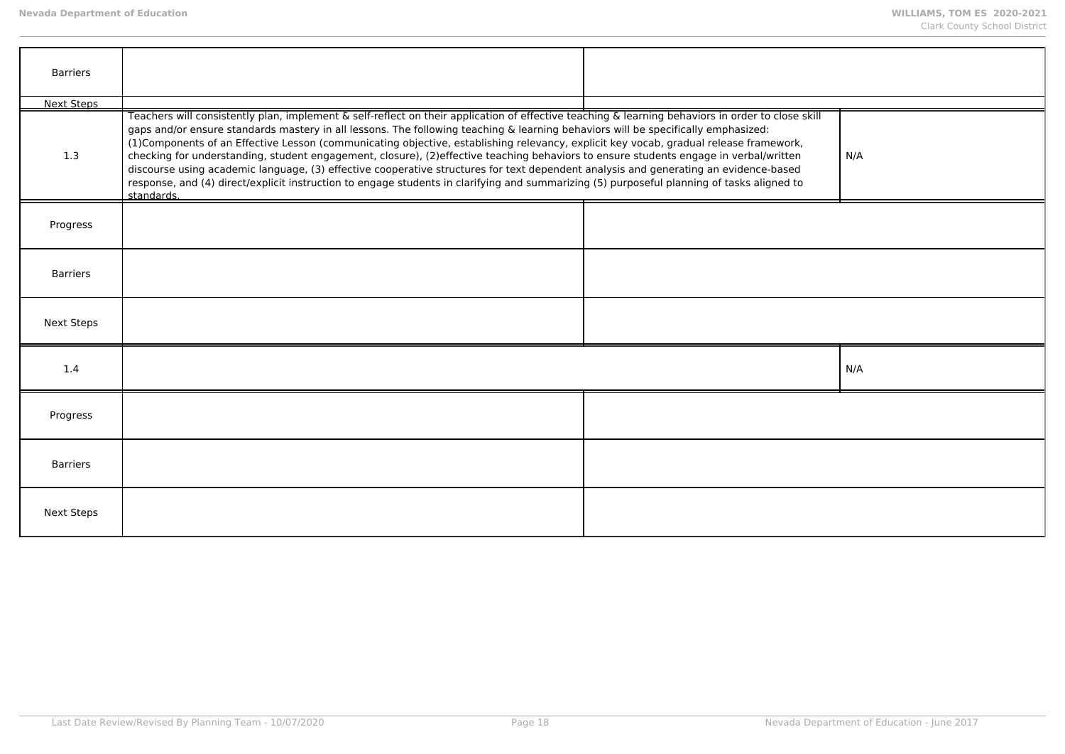| <b>Barriers</b>   |                                                                                                                                                                                                                                                                                                                                                                                                                                                                                                                                                                                                                                                                                                                                                                                                                                                                               |     |
|-------------------|-------------------------------------------------------------------------------------------------------------------------------------------------------------------------------------------------------------------------------------------------------------------------------------------------------------------------------------------------------------------------------------------------------------------------------------------------------------------------------------------------------------------------------------------------------------------------------------------------------------------------------------------------------------------------------------------------------------------------------------------------------------------------------------------------------------------------------------------------------------------------------|-----|
| <b>Next Steps</b> |                                                                                                                                                                                                                                                                                                                                                                                                                                                                                                                                                                                                                                                                                                                                                                                                                                                                               |     |
| 1.3               | Teachers will consistently plan, implement & self-reflect on their application of effective teaching & learning behaviors in order to close skill<br>gaps and/or ensure standards mastery in all lessons. The following teaching & learning behaviors will be specifically emphasized:<br>(1) Components of an Effective Lesson (communicating objective, establishing relevancy, explicit key vocab, gradual release framework,<br>checking for understanding, student engagement, closure), (2)effective teaching behaviors to ensure students engage in verbal/written<br>discourse using academic language, (3) effective cooperative structures for text dependent analysis and generating an evidence-based<br>response, and (4) direct/explicit instruction to engage students in clarifying and summarizing (5) purposeful planning of tasks aligned to<br>standards. | N/A |
| Progress          |                                                                                                                                                                                                                                                                                                                                                                                                                                                                                                                                                                                                                                                                                                                                                                                                                                                                               |     |
| <b>Barriers</b>   |                                                                                                                                                                                                                                                                                                                                                                                                                                                                                                                                                                                                                                                                                                                                                                                                                                                                               |     |
| <b>Next Steps</b> |                                                                                                                                                                                                                                                                                                                                                                                                                                                                                                                                                                                                                                                                                                                                                                                                                                                                               |     |
| 1.4               |                                                                                                                                                                                                                                                                                                                                                                                                                                                                                                                                                                                                                                                                                                                                                                                                                                                                               | N/A |
| Progress          |                                                                                                                                                                                                                                                                                                                                                                                                                                                                                                                                                                                                                                                                                                                                                                                                                                                                               |     |
| <b>Barriers</b>   |                                                                                                                                                                                                                                                                                                                                                                                                                                                                                                                                                                                                                                                                                                                                                                                                                                                                               |     |
| <b>Next Steps</b> |                                                                                                                                                                                                                                                                                                                                                                                                                                                                                                                                                                                                                                                                                                                                                                                                                                                                               |     |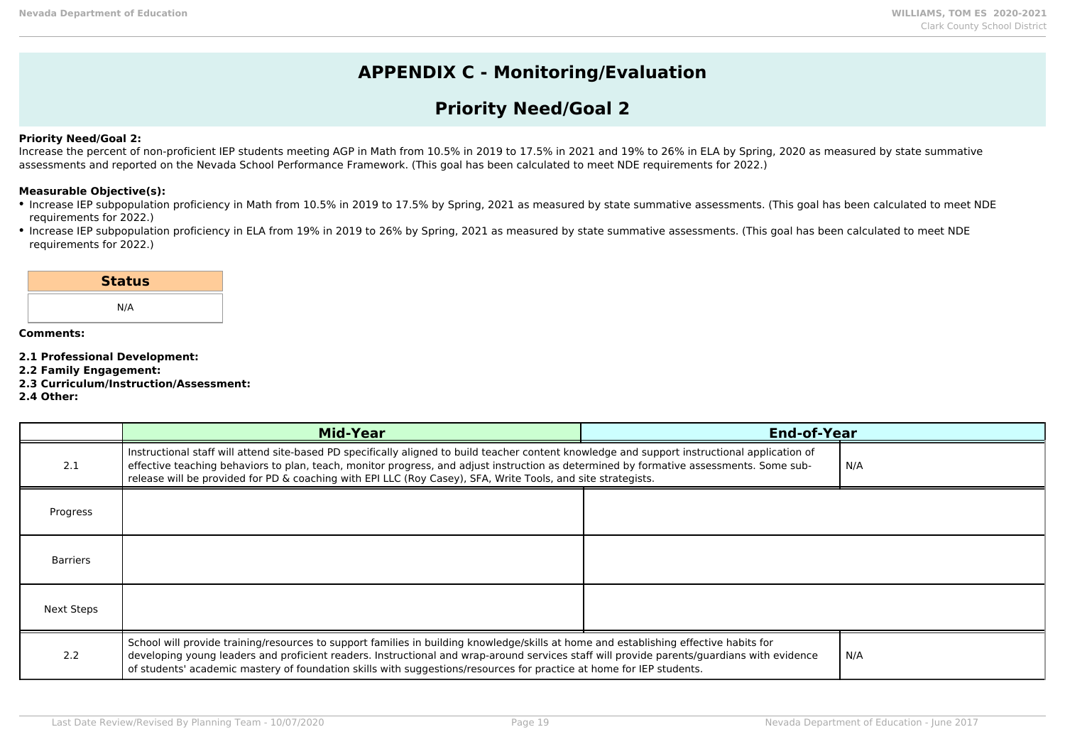### **APPENDIX C - Monitoring/Evaluation**

### **Priority Need/Goal 2**

#### **Priority Need/Goal 2:**

Increase the percent of non-proficient IEP students meeting AGP in Math from 10.5% in 2019 to 17.5% in 2021 and 19% to 26% in ELA by Spring, 2020 as measured by state summative assessments and reported on the Nevada School Performance Framework. (This goal has been calculated to meet NDE requirements for 2022.)

#### **Measurable Objective(s):**

- Increase IEP subpopulation proficiency in Math from 10.5% in 2019 to 17.5% by Spring, 2021 as measured by state summative assessments. (This goal has been calculated to meet NDE requirements for 2022.)
- Increase IEP subpopulation proficiency in ELA from 19% in 2019 to 26% by Spring, 2021 as measured by state summative assessments. (This goal has been calculated to meet NDE requirements for 2022.)

| <b>Status</b> |  |
|---------------|--|
| N/A           |  |
|               |  |

- **2.1 Professional Development:**
- **2.2 Family Engagement:**
- **2.3 Curriculum/Instruction/Assessment:**
- **2.4 Other:**

|                 | <b>Mid-Year</b>                                                                                                                                                                                                                                                                                                                                                                                             | <b>End-of-Year</b> |     |
|-----------------|-------------------------------------------------------------------------------------------------------------------------------------------------------------------------------------------------------------------------------------------------------------------------------------------------------------------------------------------------------------------------------------------------------------|--------------------|-----|
| 2.1             | Instructional staff will attend site-based PD specifically aligned to build teacher content knowledge and support instructional application of<br>effective teaching behaviors to plan, teach, monitor progress, and adjust instruction as determined by formative assessments. Some sub-<br>release will be provided for PD & coaching with EPI LLC (Roy Casey), SFA, Write Tools, and site strategists.   |                    | N/A |
| Progress        |                                                                                                                                                                                                                                                                                                                                                                                                             |                    |     |
| <b>Barriers</b> |                                                                                                                                                                                                                                                                                                                                                                                                             |                    |     |
| Next Steps      |                                                                                                                                                                                                                                                                                                                                                                                                             |                    |     |
| 2.2             | School will provide training/resources to support families in building knowledge/skills at home and establishing effective habits for<br>developing young leaders and proficient readers. Instructional and wrap-around services staff will provide parents/guardians with evidence<br>of students' academic mastery of foundation skills with suggestions/resources for practice at home for IEP students. |                    | N/A |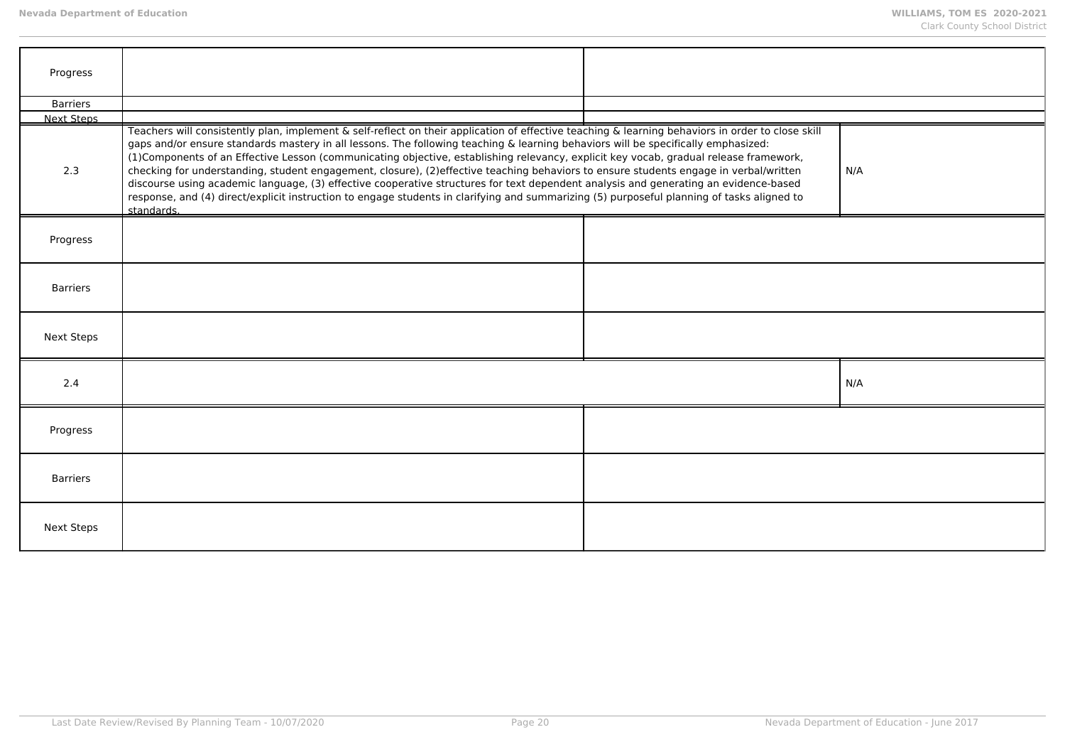| Progress          |                                                                                                                                                                                                                                                                                                                                                                                                                                                                                                                                                                                                                                                                                                                                                                                                                                                                               |     |
|-------------------|-------------------------------------------------------------------------------------------------------------------------------------------------------------------------------------------------------------------------------------------------------------------------------------------------------------------------------------------------------------------------------------------------------------------------------------------------------------------------------------------------------------------------------------------------------------------------------------------------------------------------------------------------------------------------------------------------------------------------------------------------------------------------------------------------------------------------------------------------------------------------------|-----|
| <b>Barriers</b>   |                                                                                                                                                                                                                                                                                                                                                                                                                                                                                                                                                                                                                                                                                                                                                                                                                                                                               |     |
| <b>Next Steps</b> |                                                                                                                                                                                                                                                                                                                                                                                                                                                                                                                                                                                                                                                                                                                                                                                                                                                                               |     |
| 2.3               | Teachers will consistently plan, implement & self-reflect on their application of effective teaching & learning behaviors in order to close skill<br>gaps and/or ensure standards mastery in all lessons. The following teaching & learning behaviors will be specifically emphasized:<br>(1) Components of an Effective Lesson (communicating objective, establishing relevancy, explicit key vocab, gradual release framework,<br>checking for understanding, student engagement, closure), (2)effective teaching behaviors to ensure students engage in verbal/written<br>discourse using academic language, (3) effective cooperative structures for text dependent analysis and generating an evidence-based<br>response, and (4) direct/explicit instruction to engage students in clarifying and summarizing (5) purposeful planning of tasks aligned to<br>standards. | N/A |
| Progress          |                                                                                                                                                                                                                                                                                                                                                                                                                                                                                                                                                                                                                                                                                                                                                                                                                                                                               |     |
| <b>Barriers</b>   |                                                                                                                                                                                                                                                                                                                                                                                                                                                                                                                                                                                                                                                                                                                                                                                                                                                                               |     |
| <b>Next Steps</b> |                                                                                                                                                                                                                                                                                                                                                                                                                                                                                                                                                                                                                                                                                                                                                                                                                                                                               |     |
| 2.4               |                                                                                                                                                                                                                                                                                                                                                                                                                                                                                                                                                                                                                                                                                                                                                                                                                                                                               | N/A |
| Progress          |                                                                                                                                                                                                                                                                                                                                                                                                                                                                                                                                                                                                                                                                                                                                                                                                                                                                               |     |
| <b>Barriers</b>   |                                                                                                                                                                                                                                                                                                                                                                                                                                                                                                                                                                                                                                                                                                                                                                                                                                                                               |     |
| <b>Next Steps</b> |                                                                                                                                                                                                                                                                                                                                                                                                                                                                                                                                                                                                                                                                                                                                                                                                                                                                               |     |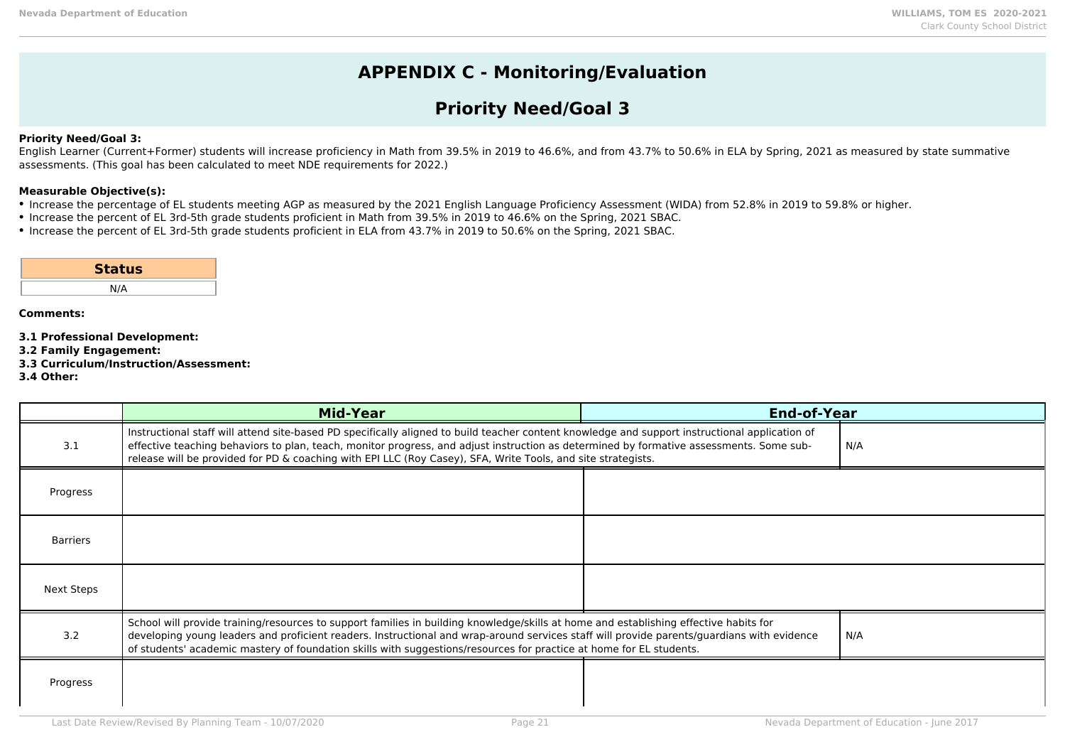### **APPENDIX C - Monitoring/Evaluation**

### **Priority Need/Goal 3**

#### **Priority Need/Goal 3:**

English Learner (Current+Former) students will increase proficiency in Math from 39.5% in 2019 to 46.6%, and from 43.7% to 50.6% in ELA by Spring, 2021 as measured by state summative assessments. (This goal has been calculated to meet NDE requirements for 2022.)

#### **Measurable Objective(s):**

- Increase the percentage of EL students meeting AGP as measured by the 2021 English Language Proficiency Assessment (WIDA) from 52.8% in 2019 to 59.8% or higher.
- Increase the percent of EL 3rd-5th grade students proficient in Math from 39.5% in 2019 to 46.6% on the Spring, 2021 SBAC.
- Increase the percent of EL 3rd-5th grade students proficient in ELA from 43.7% in 2019 to 50.6% on the Spring, 2021 SBAC.

| <b>Status</b> |  |
|---------------|--|
| N/A           |  |

- **3.1 Professional Development:**
- **3.2 Family Engagement:**
- **3.3 Curriculum/Instruction/Assessment:**
- **3.4 Other:**

|            | <b>Mid-Year</b>                                                                                                                                                                                                                                                                                                                                                                                            | <b>End-of-Year</b> |     |
|------------|------------------------------------------------------------------------------------------------------------------------------------------------------------------------------------------------------------------------------------------------------------------------------------------------------------------------------------------------------------------------------------------------------------|--------------------|-----|
| 3.1        | Instructional staff will attend site-based PD specifically aligned to build teacher content knowledge and support instructional application of<br>effective teaching behaviors to plan, teach, monitor progress, and adjust instruction as determined by formative assessments. Some sub-<br>release will be provided for PD & coaching with EPI LLC (Roy Casey), SFA, Write Tools, and site strategists.  |                    | N/A |
| Progress   |                                                                                                                                                                                                                                                                                                                                                                                                            |                    |     |
| Barriers   |                                                                                                                                                                                                                                                                                                                                                                                                            |                    |     |
| Next Steps |                                                                                                                                                                                                                                                                                                                                                                                                            |                    |     |
| 3.2        | School will provide training/resources to support families in building knowledge/skills at home and establishing effective habits for<br>developing young leaders and proficient readers. Instructional and wrap-around services staff will provide parents/guardians with evidence<br>of students' academic mastery of foundation skills with suggestions/resources for practice at home for EL students. |                    | N/A |
| Progress   |                                                                                                                                                                                                                                                                                                                                                                                                            |                    |     |